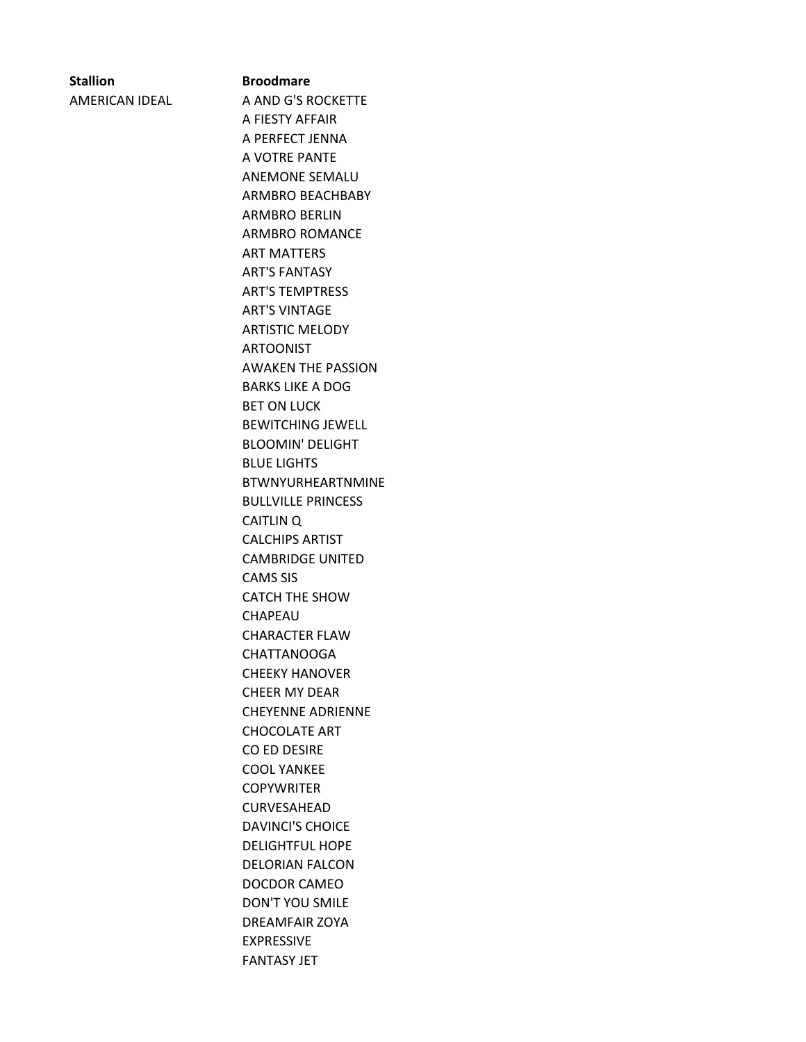# **Stallion Broodmare**

AMERICAN IDEAL A AND G'S ROCKETTE A FIESTY AFFAIR A PERFECT JENNA A VOTRE PANTE ANEMONE SEMALU ARMBRO BEACHBABY ARMBRO BERLIN ARMBRO ROMANCE ART MATTERS ART'S FANTASY ART'S TEMPTRESS ART'S VINTAGE ARTISTIC MELODY ARTOONIST AWAKEN THE PASSION BARKS LIKE A DOG BET ON LUCK BEWITCHING JEWELL BLOOMIN' DELIGHT BLUE LIGHTS BTWNYURHEARTNMINE BULLVILLE PRINCESS CAITLIN Q CALCHIPS ARTIST CAMBRIDGE UNITED CAMS SIS CATCH THE SHOW CHAPEAU CHARACTER FLAW CHATTANOOGA CHEEKY HANOVER CHEER MY DEAR CHEYENNE ADRIENNE CHOCOLATE ART CO ED DESIRE COOL YANKEE **COPYWRITER** CURVESAHEAD DAVINCI'S CHOICE DELIGHTFUL HOPE DELORIAN FALCON DOCDOR CAMEO DON'T YOU SMILE DREAMFAIR ZOYA EXPRESSIVE FANTASY JET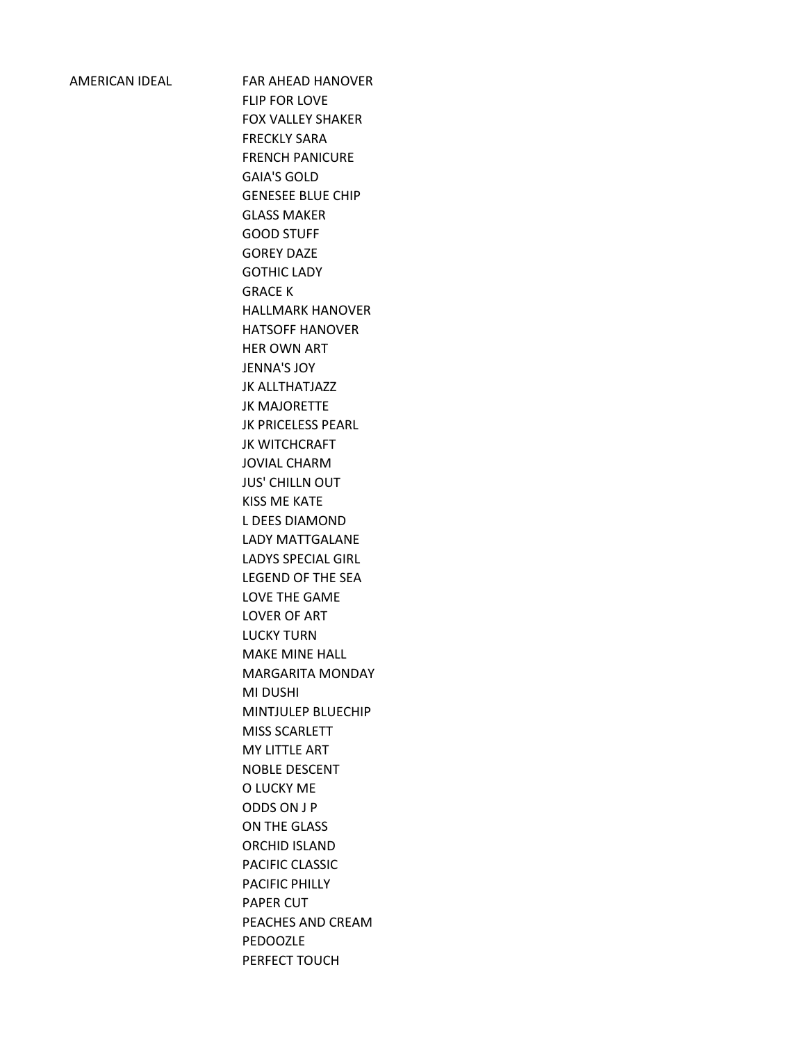AMERICAN IDEAL FAR AHEAD HANOVER FLIP FOR LOVE FOX VALLEY SHAKER FRECKLY SARA FRENCH PANICURE GAIA'S GOLD GENESEE BLUE CHIP GLASS MAKER GOOD STUFF GOREY DAZE GOTHIC LADY GRACE K HALLMARK HANOVER HATSOFF HANOVER HER OWN ART JENNA'S JOY JK ALLTHATJAZZ JK MAJORETTE JK PRICELESS PEARL JK WITCHCRAFT JOVIAL CHARM JUS' CHILLN OUT KISS ME KATE L DEES DIAMOND LADY MATTGALANE LADYS SPECIAL GIRL LEGEND OF THE SEA LOVE THE GAME LOVER OF ART LUCKY TURN MAKE MINE HALL MARGARITA MONDAY MI DUSHI MINTJULEP BLUECHIP MISS SCARLETT MY LITTLE ART NOBLE DESCENT O LUCKY ME ODDS ON J P ON THE GLASS ORCHID ISLAND PACIFIC CLASSIC PACIFIC PHILLY PAPER CUT PEACHES AND CREAM PEDOOZLE PERFECT TOUCH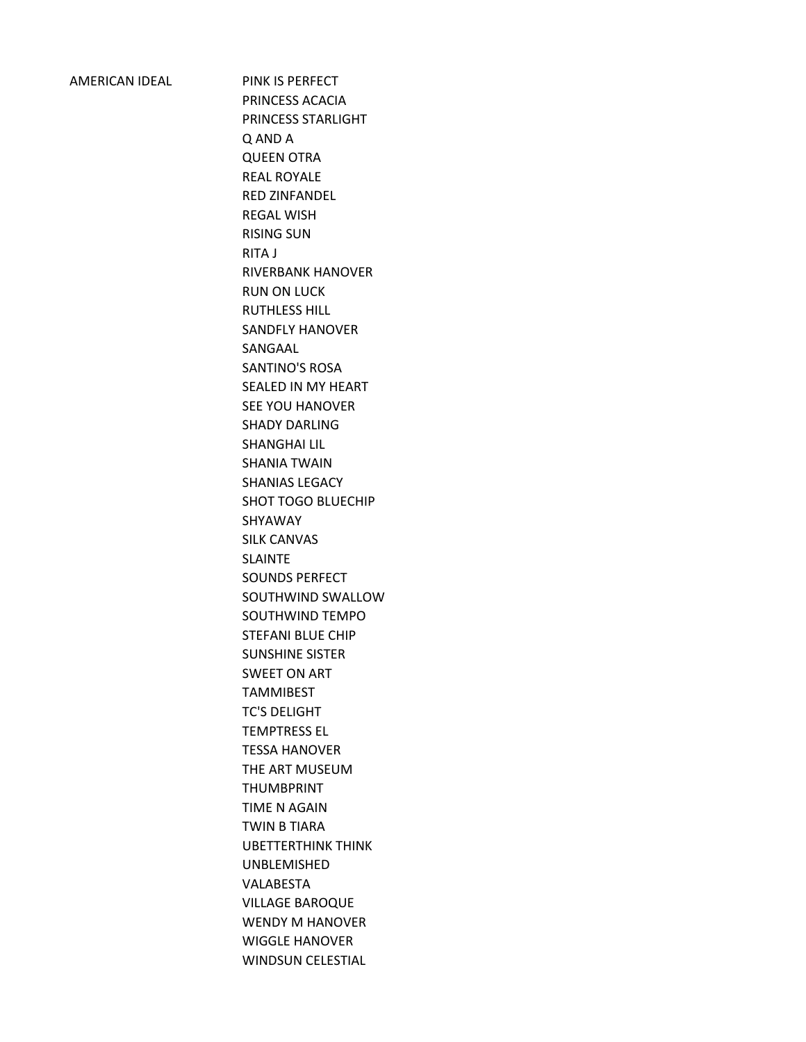AMERICAN IDEAL PINK IS PERFECT PRINCESS ACACIA PRINCESS STARLIGHT Q AND A QUEEN OTRA REAL ROYALE RED ZINFANDEL REGAL WISH RISING SUN RITA J RIVERBANK HANOVER RUN ON LUCK RUTHLESS HILL SANDFLY HANOVER SANGAAL SANTINO'S ROSA SEALED IN MY HEART SEE YOU HANOVER SHADY DARLING SHANGHAI LIL SHANIA TWAIN SHANIAS LEGACY SHOT TOGO BLUECHIP SHYAWAY SILK CANVAS SLAINTE SOUNDS PERFECT SOUTHWIND SWALLOW SOUTHWIND TEMPO STEFANI BLUE CHIP SUNSHINE SISTER SWEET ON ART TAMMIBEST TC'S DELIGHT TEMPTRESS EL TESSA HANOVER THE ART MUSEUM THUMBPRINT TIME N AGAIN TWIN B TIARA UBETTERTHINK THINK UNBLEMISHED VALABESTA VILLAGE BAROQUE WENDY M HANOVER WIGGLE HANOVER WINDSUN CELESTIAL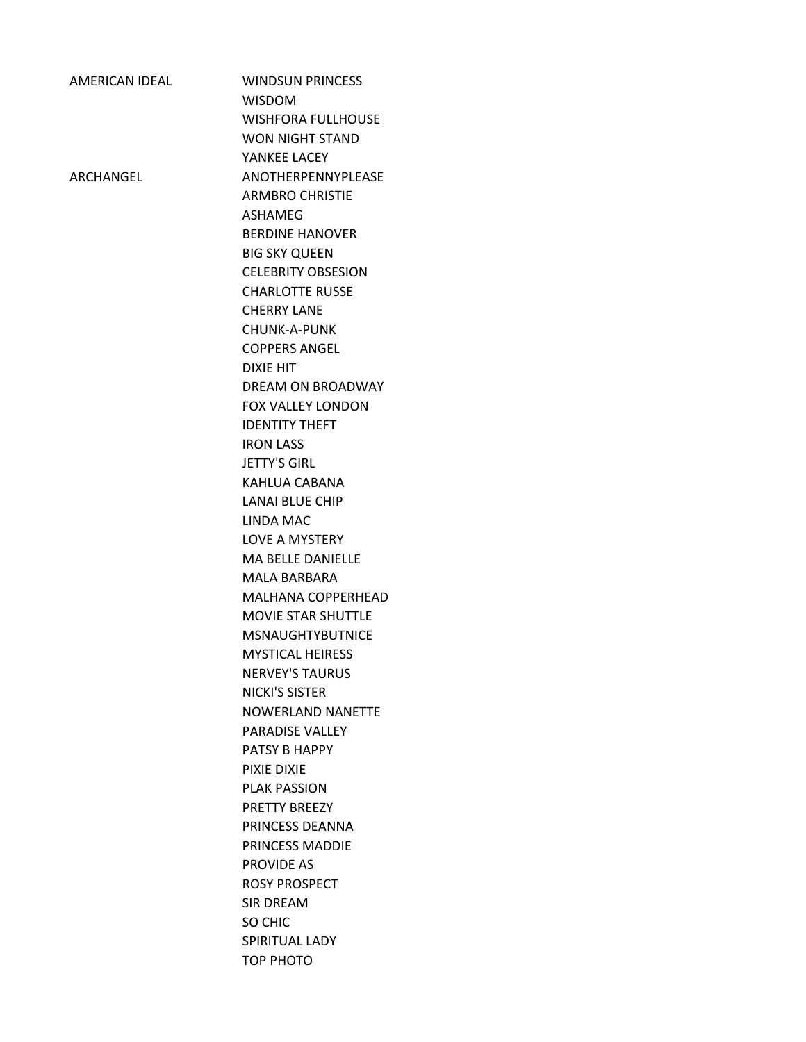| <b>AMERICAN IDEAL</b> | <b>WINDSUN PRINCESS</b><br><b>WISDOM</b>           |
|-----------------------|----------------------------------------------------|
|                       | <b>WISHFORA FULLHOUSE</b>                          |
|                       | <b>WON NIGHT STAND</b>                             |
|                       | YANKEE LACEY                                       |
| ARCHANGEL             | ANOTHERPENNYPLEASE                                 |
|                       | <b>ARMBRO CHRISTIE</b>                             |
|                       | <b>ASHAMEG</b>                                     |
|                       | <b>BERDINE HANOVER</b>                             |
|                       | <b>BIG SKY QUEEN</b>                               |
|                       | <b>CELEBRITY OBSESION</b>                          |
|                       | <b>CHARLOTTE RUSSE</b>                             |
|                       | <b>CHERRY LANE</b>                                 |
|                       | CHUNK-A-PUNK                                       |
|                       | <b>COPPERS ANGEL</b>                               |
|                       | <b>DIXIE HIT</b>                                   |
|                       | DREAM ON BROADWAY                                  |
|                       | <b>FOX VALLEY LONDON</b>                           |
|                       | <b>IDENTITY THEFT</b><br><b>IRON LASS</b>          |
|                       | <b>JETTY'S GIRL</b>                                |
|                       | KAHLUA CABANA                                      |
|                       | <b>LANAI BLUE CHIP</b>                             |
|                       | LINDA MAC                                          |
|                       | <b>LOVE A MYSTERY</b>                              |
|                       | <b>MA BELLE DANIELLE</b>                           |
|                       | MALA BARBARA                                       |
|                       | <b>MALHANA COPPERHEAD</b>                          |
|                       | MOVIE STAR SHUTTLE                                 |
|                       | <b>MSNAUGHTYBUTNICE</b>                            |
|                       | <b>MYSTICAL HEIRESS</b>                            |
|                       | <b>NERVEY'S TAURUS</b>                             |
|                       | NICKI'S SISTER                                     |
|                       | <b>NOWERLAND NANETTE</b><br><b>PARADISE VALLEY</b> |
|                       | PATSY B HAPPY                                      |
|                       | PIXIF DIXIF                                        |
|                       | <b>PLAK PASSION</b>                                |
|                       | <b>PRETTY BREEZY</b>                               |
|                       | PRINCESS DEANNA                                    |
|                       | PRINCESS MADDIE                                    |
|                       | PROVIDE AS                                         |
|                       | <b>ROSY PROSPECT</b>                               |
|                       | <b>SIR DREAM</b>                                   |
|                       | SO CHIC                                            |
|                       | SPIRITUAL LADY                                     |
|                       | TOP PHOTO                                          |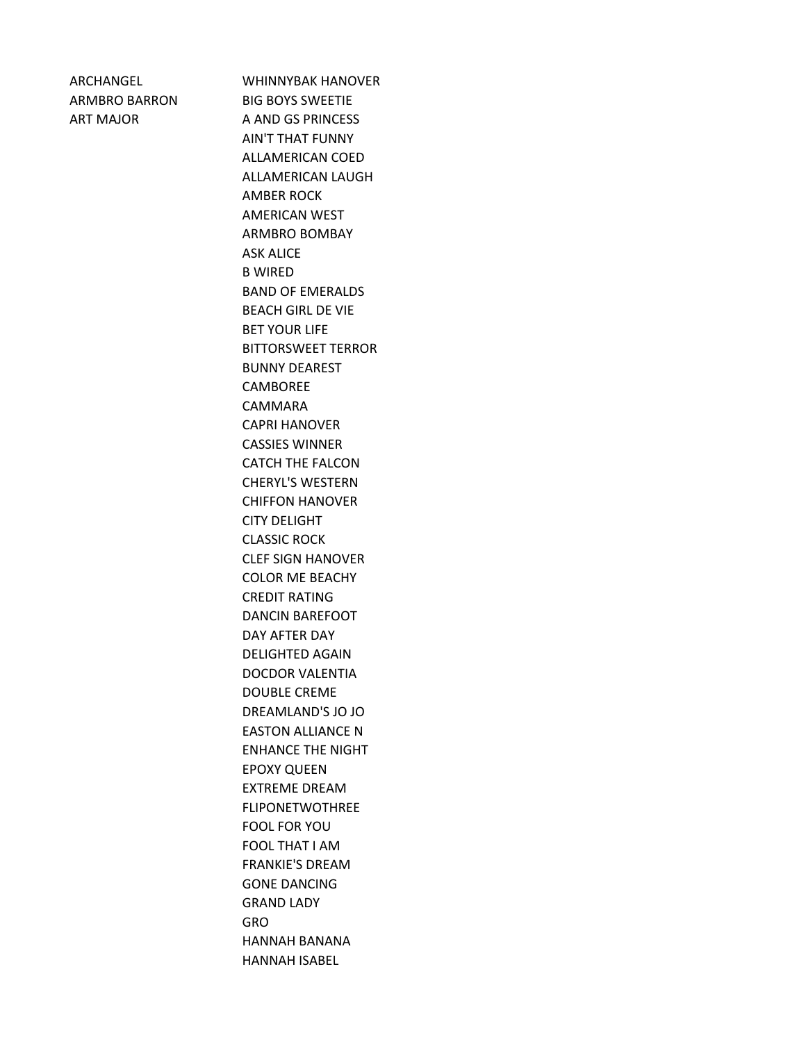ARCHANGEL WHINNYBAK HANOVER ARMBRO BARRON BIG BOYS SWEETIE ART MAJOR A AND GS PRINCESS AIN'T THAT FUNNY ALLAMERICAN COED ALLAMERICAN LAUGH AMBER ROCK AMERICAN WEST ARMBRO BOMBAY ASK ALICE B WIRED BAND OF EMERALDS BEACH GIRL DE VIE BET YOUR LIFE BITTORSWEET TERROR BUNNY DEAREST CAMBOREE CAMMARA CAPRI HANOVER CASSIES WINNER CATCH THE FALCON CHERYL'S WESTERN CHIFFON HANOVER CITY DELIGHT CLASSIC ROCK CLEF SIGN HANOVER COLOR ME BEACHY CREDIT RATING DANCIN BAREFOOT DAY AFTER DAY DELIGHTED AGAIN DOCDOR VALENTIA DOUBLE CREME DREAMLAND'S JO JO EASTON ALLIANCE N ENHANCE THE NIGHT EPOXY QUEEN EXTREME DREAM FLIPONETWOTHREE FOOL FOR YOU FOOL THAT I AM FRANKIE'S DREAM GONE DANCING GRAND LADY GRO HANNAH BANANA HANNAH ISABEL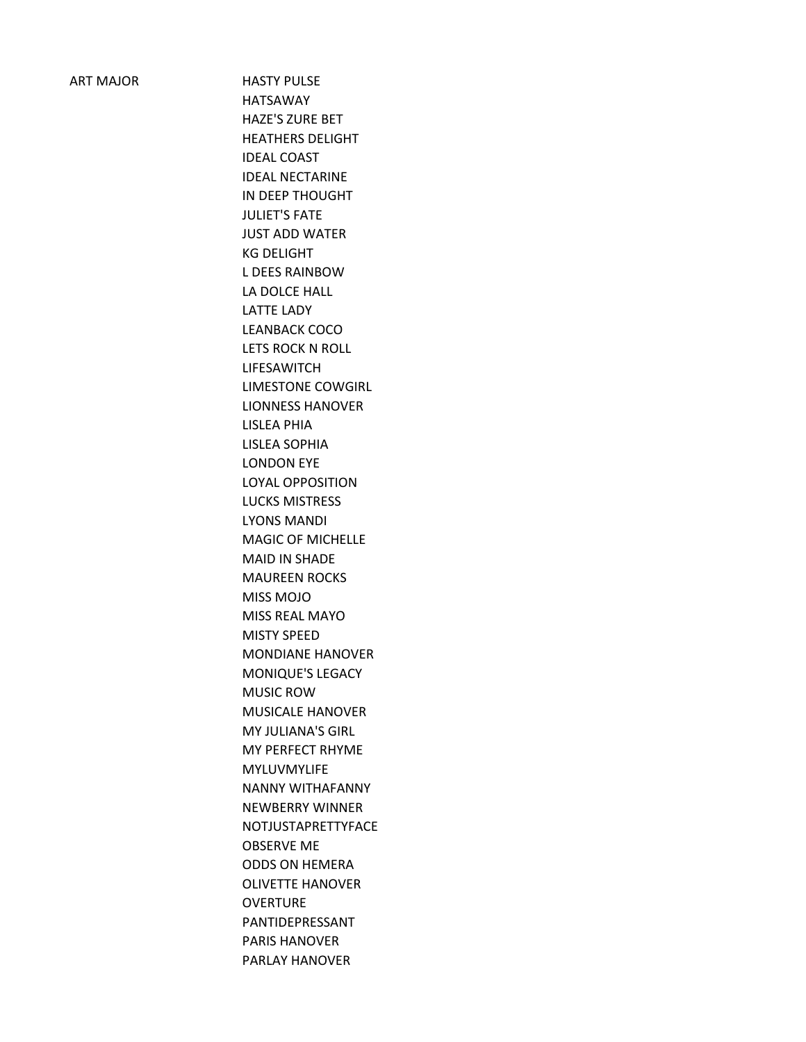ART MAJOR HASTY PULSE HATSAWAY HAZE'S ZURE BET HEATHERS DELIGHT IDEAL COAST IDEAL NECTARINE IN DEEP THOUGHT JULIET'S FATE JUST ADD WATER KG DELIGHT L DEES RAINBOW LA DOLCE HALL LATTE LADY LEANBACK COCO LETS ROCK N ROLL LIFESAWITCH LIMESTONE COWGIRL LIONNESS HANOVER LISLEA PHIA LISLEA SOPHIA LONDON EYE LOYAL OPPOSITION LUCKS MISTRESS LYONS MANDI MAGIC OF MICHELLE MAID IN SHADE MAUREEN ROCKS MISS MOJO MISS REAL MAYO MISTY SPEED MONDIANE HANOVER MONIQUE'S LEGACY MUSIC ROW MUSICALE HANOVER MY JULIANA'S GIRL MY PERFECT RHYME MYLUVMYLIFE NANNY WITHAFANNY NEWBERRY WINNER NOTJUSTAPRETTYFACE OBSERVE ME ODDS ON HEMERA OLIVETTE HANOVER **OVERTURE** PANTIDEPRESSANT PARIS HANOVER PARLAY HANOVER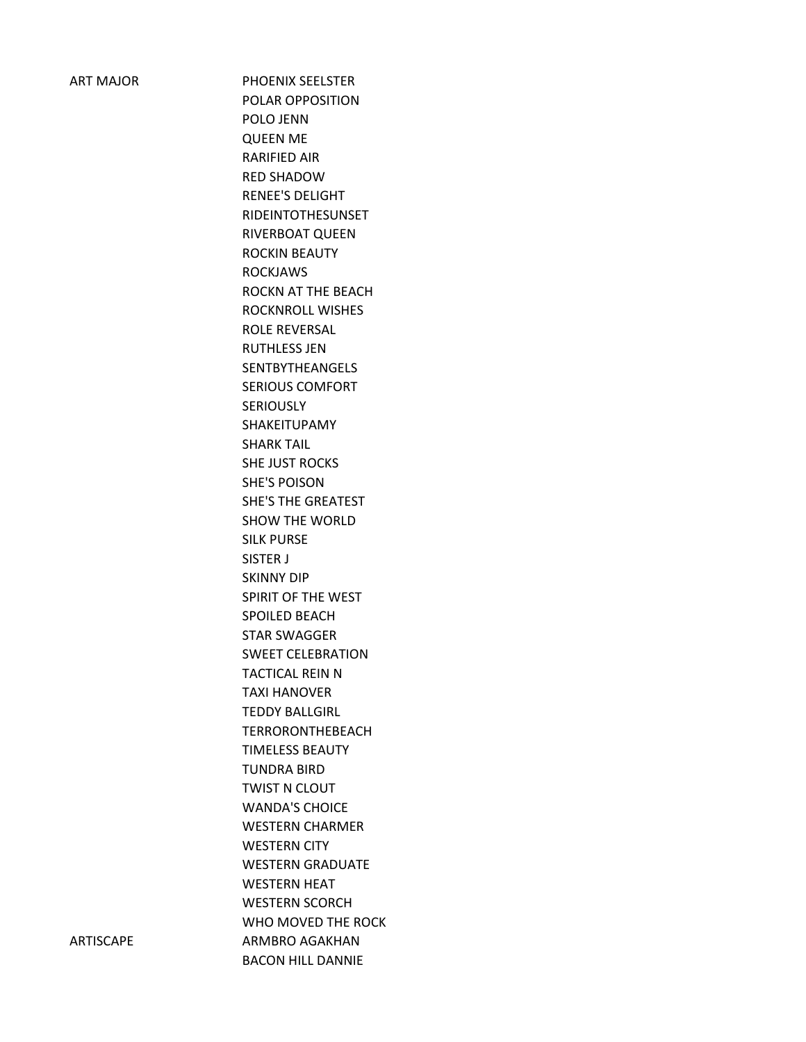ART MAJOR PHOENIX SEELSTER POLAR OPPOSITION POLO JENN QUEEN ME RARIFIED AIR RED SHADOW RENEE'S DELIGHT RIDEINTOTHESUNSET RIVERBOAT QUEEN ROCKIN BEAUTY ROCKJAWS ROCKN AT THE BEACH ROCKNROLL WISHES ROLE REVERSAL RUTHLESS JEN SENTBYTHEANGELS SERIOUS COMFORT **SERIOUSLY** SHAKEITUPAMY SHARK TAIL SHE JUST ROCKS SHE'S POISON SHE'S THE GREATEST SHOW THE WORLD SILK PURSE SISTER J SKINNY DIP SPIRIT OF THE WEST SPOILED BEACH STAR SWAGGER SWEET CELEBRATION TACTICAL REIN N TAXI HANOVER TEDDY BALLGIRL TERRORONTHEBEACH TIMELESS BEAUTY TUNDRA BIRD TWIST N CLOUT WANDA'S CHOICE WESTERN CHARMER WESTERN CITY WESTERN GRADUATE WESTERN HEAT WESTERN SCORCH WHO MOVED THE ROCK ARTISCAPE ARMBRO AGAKHAN BACON HILL DANNIE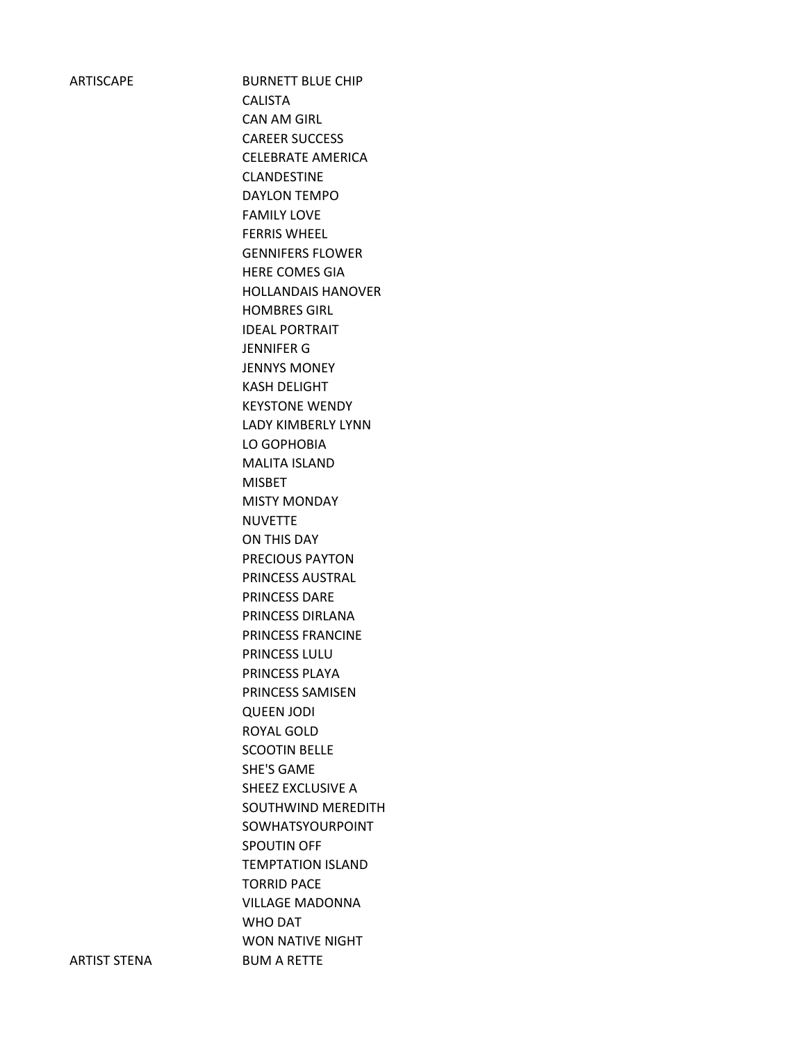ARTISCAPE BURNETT BLUE CHIP CALISTA CAN AM GIRL CAREER SUCCESS CELEBRATE AMERICA CLANDESTINE DAYLON TEMPO FAMILY LOVE FERRIS WHEEL GENNIFERS FLOWER HERE COMES GIA HOLLANDAIS HANOVER HOMBRES GIRL IDEAL PORTRAIT JENNIFER G JENNYS MONEY KASH DELIGHT KEYSTONE WENDY LADY KIMBERLY LYNN LO GOPHOBIA MALITA ISLAND MISBET MISTY MONDAY NUVETTE ON THIS DAY PRECIOUS PAYTON PRINCESS AUSTRAL PRINCESS DARE PRINCESS DIRLANA PRINCESS FRANCINE PRINCESS LULU PRINCESS PLAYA PRINCESS SAMISEN QUEEN JODI ROYAL GOLD SCOOTIN BELLE SHE'S GAME SHEEZ EXCLUSIVE A SOUTHWIND MEREDITH SOWHATSYOURPOINT SPOUTIN OFF TEMPTATION ISLAND TORRID PACE VILLAGE MADONNA WHO DAT WON NATIVE NIGHT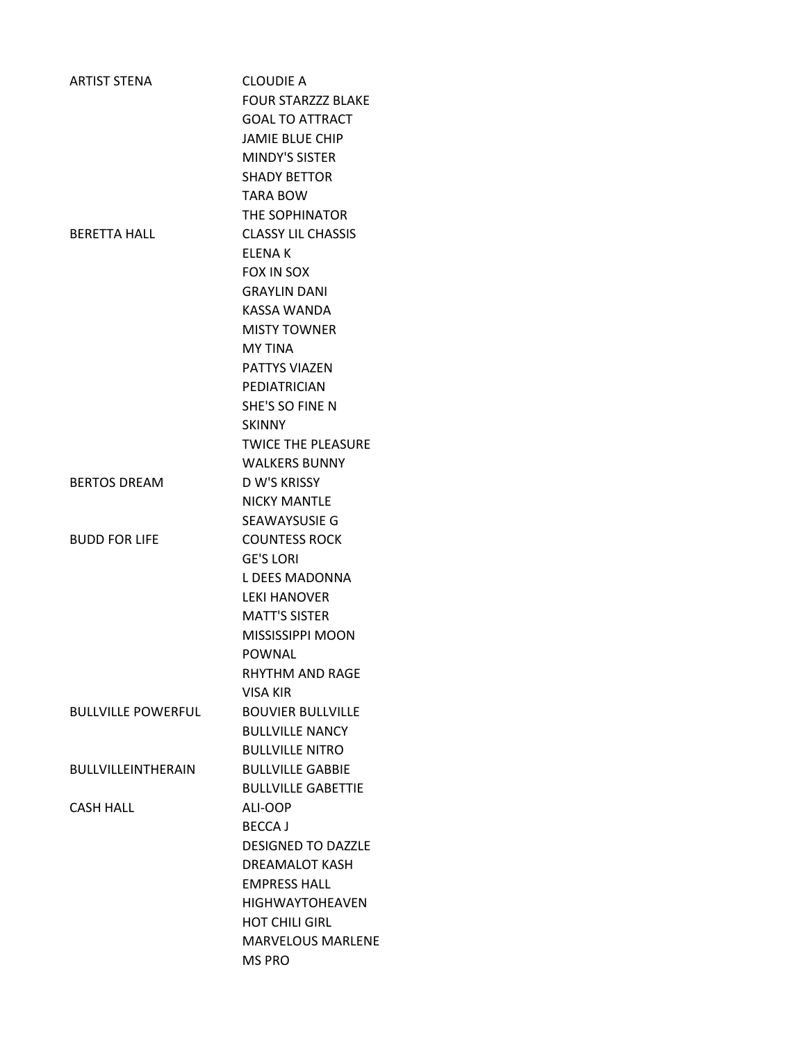| <b>ARTIST STENA</b>       | <b>CLOUDIE A</b>          |
|---------------------------|---------------------------|
|                           | <b>FOUR STARZZZ BLAKE</b> |
|                           | <b>GOAL TO ATTRACT</b>    |
|                           | <b>JAMIE BLUE CHIP</b>    |
|                           | <b>MINDY'S SISTER</b>     |
|                           | <b>SHADY BETTOR</b>       |
|                           | <b>TARA BOW</b>           |
|                           | THE SOPHINATOR            |
| <b>BERETTA HALL</b>       | <b>CLASSY LIL CHASSIS</b> |
|                           | <b>ELENAK</b>             |
|                           | <b>FOX IN SOX</b>         |
|                           | <b>GRAYLIN DANI</b>       |
|                           | KASSA WANDA               |
|                           | <b>MISTY TOWNER</b>       |
|                           | <b>MY TINA</b>            |
|                           | <b>PATTYS VIAZEN</b>      |
|                           | PEDIATRICIAN              |
|                           | SHE'S SO FINE N           |
|                           | <b>SKINNY</b>             |
|                           | <b>TWICE THE PLEASURE</b> |
|                           | <b>WALKERS BUNNY</b>      |
| <b>BERTOS DREAM</b>       | <b>D W'S KRISSY</b>       |
|                           | <b>NICKY MANTLE</b>       |
|                           | <b>SEAWAYSUSIE G</b>      |
| <b>BUDD FOR LIFE</b>      | <b>COUNTESS ROCK</b>      |
|                           | <b>GE'S LORI</b>          |
|                           | L DEES MADONNA            |
|                           | <b>LEKI HANOVER</b>       |
|                           | <b>MATT'S SISTER</b>      |
|                           | MISSISSIPPI MOON          |
|                           | POWNAL                    |
|                           | RHYTHM AND RAGE           |
|                           | VISA KIR                  |
| <b>BULLVILLE POWERFUL</b> | <b>BOUVIER BULLVILLE</b>  |
|                           | <b>BULLVILLE NANCY</b>    |
|                           | <b>BULLVILLE NITRO</b>    |
| <b>BULLVILLEINTHERAIN</b> | <b>BULLVILLE GABBIE</b>   |
|                           | <b>BULLVILLE GABETTIE</b> |
| <b>CASH HALL</b>          | ALI-OOP                   |
|                           | <b>BECCAJ</b>             |
|                           | <b>DESIGNED TO DAZZLE</b> |
|                           | DREAMALOT KASH            |
|                           | <b>EMPRESS HALL</b>       |
|                           | <b>HIGHWAYTOHEAVEN</b>    |
|                           | <b>HOT CHILI GIRL</b>     |
|                           | <b>MARVELOUS MARLENE</b>  |
|                           | <b>MS PRO</b>             |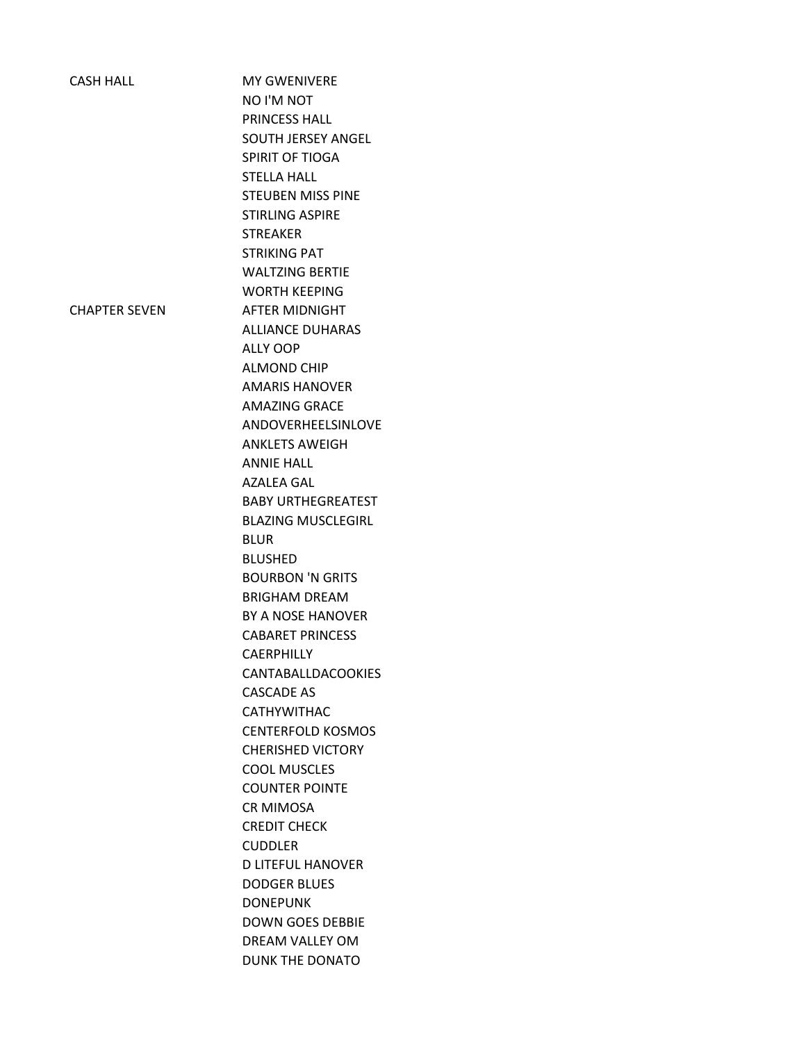| <b>CASH HALL</b>     | <b>MY GWENIVERE</b>       |
|----------------------|---------------------------|
|                      | NO I'M NOT                |
|                      | <b>PRINCESS HALL</b>      |
|                      | <b>SOUTH JERSEY ANGEL</b> |
|                      | SPIRIT OF TIOGA           |
|                      | <b>STELLA HALL</b>        |
|                      | <b>STEUBEN MISS PINE</b>  |
|                      | <b>STIRLING ASPIRE</b>    |
|                      | <b>STREAKER</b>           |
|                      | <b>STRIKING PAT</b>       |
|                      | <b>WALTZING BERTIE</b>    |
|                      | <b>WORTH KEEPING</b>      |
| <b>CHAPTER SEVEN</b> | <b>AFTER MIDNIGHT</b>     |
|                      | <b>ALLIANCE DUHARAS</b>   |
|                      | ALLY OOP                  |
|                      | <b>ALMOND CHIP</b>        |
|                      | <b>AMARIS HANOVER</b>     |
|                      | <b>AMAZING GRACE</b>      |
|                      | ANDOVERHEELSINLOVE        |
|                      | <b>ANKLETS AWEIGH</b>     |
|                      | <b>ANNIE HALL</b>         |
|                      | <b>AZALEA GAL</b>         |
|                      | <b>BABY URTHEGREATEST</b> |
|                      | <b>BLAZING MUSCLEGIRL</b> |
|                      | <b>BLUR</b>               |
|                      | <b>BLUSHED</b>            |
|                      | <b>BOURBON 'N GRITS</b>   |
|                      | <b>BRIGHAM DREAM</b>      |
|                      | BY A NOSE HANOVER         |
|                      | <b>CABARET PRINCESS</b>   |
|                      | <b>CAERPHILLY</b>         |
|                      | <b>CANTABALLDACOOKIES</b> |
|                      | <b>CASCADE AS</b>         |
|                      | <b>CATHYWITHAC</b>        |
|                      | <b>CENTERFOLD KOSMOS</b>  |
|                      | <b>CHERISHED VICTORY</b>  |
|                      | <b>COOL MUSCLES</b>       |
|                      | <b>COUNTER POINTE</b>     |
|                      | <b>CR MIMOSA</b>          |
|                      | <b>CREDIT CHECK</b>       |
|                      | <b>CUDDLER</b>            |
|                      | <b>D LITEFUL HANOVER</b>  |
|                      | <b>DODGER BLUES</b>       |
|                      | <b>DONEPUNK</b>           |
|                      | <b>DOWN GOES DEBBIE</b>   |
|                      | DREAM VALLEY OM           |
|                      | <b>DUNK THE DONATO</b>    |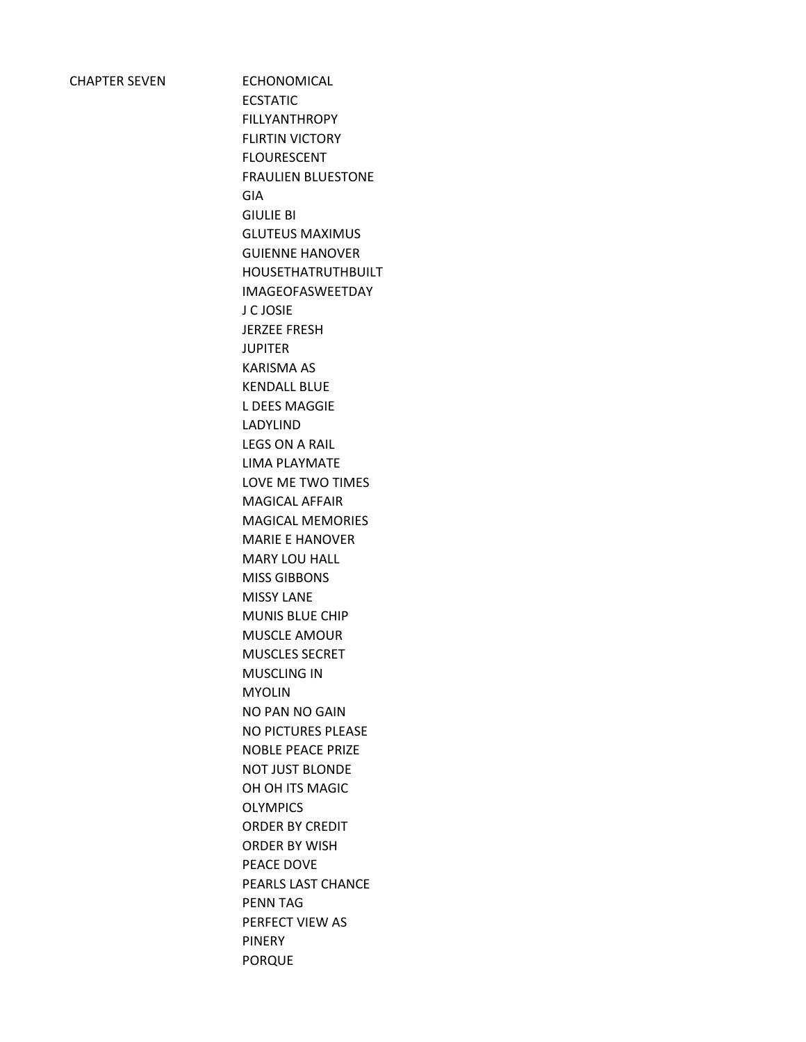| <b>CHAPTER SEVEN</b> |  |
|----------------------|--|
|                      |  |

ECHONOMICAL ECSTATIC FILLYANTHROPY FLIRTIN VICTORY FLOURESCENT FRAULIEN BLUESTONE GIA GIULIE BI GLUTEUS MAXIMUS GUIENNE HANOVER HOUSETHATRUTHBUILT IMAGEOFASWEETDAY J C JOSIE JERZEE FRESH JUPITER KARISMA AS KENDALL BLUE L DEES MAGGIE LADYLIND LEGS ON A RAIL LIMA PLAYMATE LOVE ME TWO TIMES MAGICAL AFFAIR MAGICAL MEMORIES MARIE E HANOVER MARY LOU HALL MISS GIBBONS MISSY LANE MUNIS BLUE CHIP MUSCLE AMOUR MUSCLES SECRET MUSCLING IN MYOLIN NO PAN NO GAIN NO PICTURES PLEASE NOBLE PEACE PRIZE NOT JUST BLONDE OH OH ITS MAGIC **OLYMPICS** ORDER BY CREDIT ORDER BY WISH PEACE DOVE PEARLS LAST CHANCE PENN TAG PERFECT VIEW AS PINERY PORQUE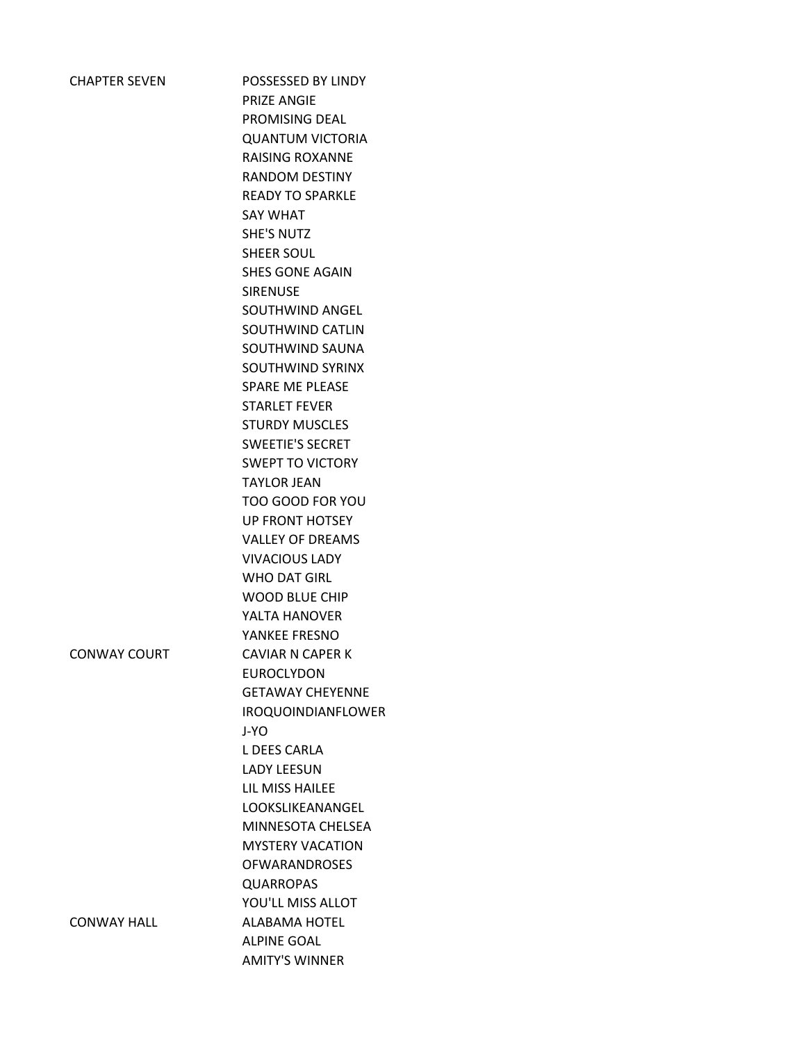| <b>CHAPTER SEVEN</b> | POSSESSED BY LINDY<br>PRIZE ANGIE<br>PROMISING DEAL<br><b>QUANTUM VICTORIA</b><br><b>RAISING ROXANNE</b><br><b>RANDOM DESTINY</b><br><b>READY TO SPARKLE</b><br><b>SAY WHAT</b><br><b>SHE'S NUTZ</b><br>SHEER SOUL<br><b>SHES GONE AGAIN</b><br><b>SIRENUSE</b><br>SOUTHWIND ANGEL<br>SOUTHWIND CATLIN<br>SOUTHWIND SAUNA<br>SOUTHWIND SYRINX<br><b>SPARE ME PLEASE</b><br><b>STARLET FEVER</b><br><b>STURDY MUSCLES</b><br><b>SWEETIE'S SECRET</b><br><b>SWEPT TO VICTORY</b><br><b>TAYLOR JEAN</b><br>TOO GOOD FOR YOU<br>UP FRONT HOTSEY<br><b>VALLEY OF DREAMS</b><br><b>VIVACIOUS LADY</b><br><b>WHO DAT GIRL</b> |
|----------------------|------------------------------------------------------------------------------------------------------------------------------------------------------------------------------------------------------------------------------------------------------------------------------------------------------------------------------------------------------------------------------------------------------------------------------------------------------------------------------------------------------------------------------------------------------------------------------------------------------------------------|
|                      | <b>WOOD BLUE CHIP</b><br>YALTA HANOVER                                                                                                                                                                                                                                                                                                                                                                                                                                                                                                                                                                                 |
|                      | YANKEF FRESNO                                                                                                                                                                                                                                                                                                                                                                                                                                                                                                                                                                                                          |
| <b>CONWAY COURT</b>  | <b>CAVIAR N CAPER K</b>                                                                                                                                                                                                                                                                                                                                                                                                                                                                                                                                                                                                |
|                      | EUROCLYDON                                                                                                                                                                                                                                                                                                                                                                                                                                                                                                                                                                                                             |
|                      | <b>GETAWAY CHEYENNE</b>                                                                                                                                                                                                                                                                                                                                                                                                                                                                                                                                                                                                |
|                      | <b>IROQUOINDIANFLOWER</b>                                                                                                                                                                                                                                                                                                                                                                                                                                                                                                                                                                                              |
|                      | J-YO                                                                                                                                                                                                                                                                                                                                                                                                                                                                                                                                                                                                                   |
|                      | L DEES CARLA                                                                                                                                                                                                                                                                                                                                                                                                                                                                                                                                                                                                           |
|                      | <b>LADY LEESUN</b>                                                                                                                                                                                                                                                                                                                                                                                                                                                                                                                                                                                                     |
|                      | LIL MISS HAILEE<br>LOOKSLIKEANANGEL                                                                                                                                                                                                                                                                                                                                                                                                                                                                                                                                                                                    |
|                      | MINNESOTA CHELSEA                                                                                                                                                                                                                                                                                                                                                                                                                                                                                                                                                                                                      |
|                      | <b>MYSTERY VACATION</b>                                                                                                                                                                                                                                                                                                                                                                                                                                                                                                                                                                                                |
|                      | <b>OFWARANDROSES</b>                                                                                                                                                                                                                                                                                                                                                                                                                                                                                                                                                                                                   |
|                      | <b>QUARROPAS</b>                                                                                                                                                                                                                                                                                                                                                                                                                                                                                                                                                                                                       |
|                      | YOU'LL MISS ALLOT                                                                                                                                                                                                                                                                                                                                                                                                                                                                                                                                                                                                      |
| <b>CONWAY HALL</b>   | <b>ALABAMA HOTEL</b>                                                                                                                                                                                                                                                                                                                                                                                                                                                                                                                                                                                                   |
|                      | <b>ALPINE GOAL</b>                                                                                                                                                                                                                                                                                                                                                                                                                                                                                                                                                                                                     |
|                      | <b>AMITY'S WINNER</b>                                                                                                                                                                                                                                                                                                                                                                                                                                                                                                                                                                                                  |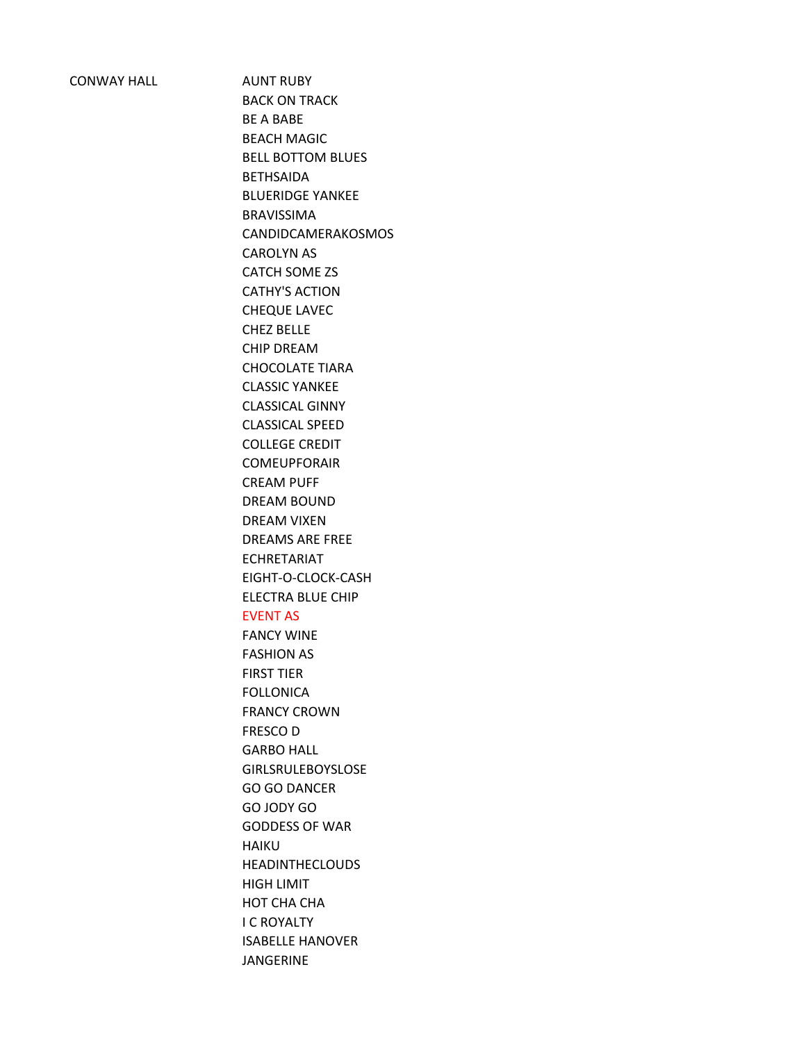CONWAY HALL AUNT RUBY

BACK ON TRACK BE A BABE BEACH MAGIC BELL BOTTOM BLUES BETHSAIDA BLUERIDGE YANKEE BRAVISSIMA CANDIDCAMERAKOSMOS CAROLYN AS CATCH SOME ZS CATHY'S ACTION CHEQUE LAVEC CHEZ BELLE CHIP DREAM CHOCOLATE TIARA CLASSIC YANKEE CLASSICAL GINNY CLASSICAL SPEED COLLEGE CREDIT COMEUPFORAIR CREAM PUFF DREAM BOUND DREAM VIXEN DREAMS ARE FREE ECHRETARIAT EIGHT-O-CLOCK-CASH ELECTRA BLUE CHIP EVENT AS FANCY WINE FASHION AS FIRST TIER FOLLONICA FRANCY CROWN FRESCO D GARBO HALL GIRLSRULEBOYSLOSE GO GO DANCER GO JODY GO GODDESS OF WAR HAIKU HEADINTHECLOUDS HIGH LIMIT HOT CHA CHA I C ROYALTY ISABELLE HANOVER JANGERINE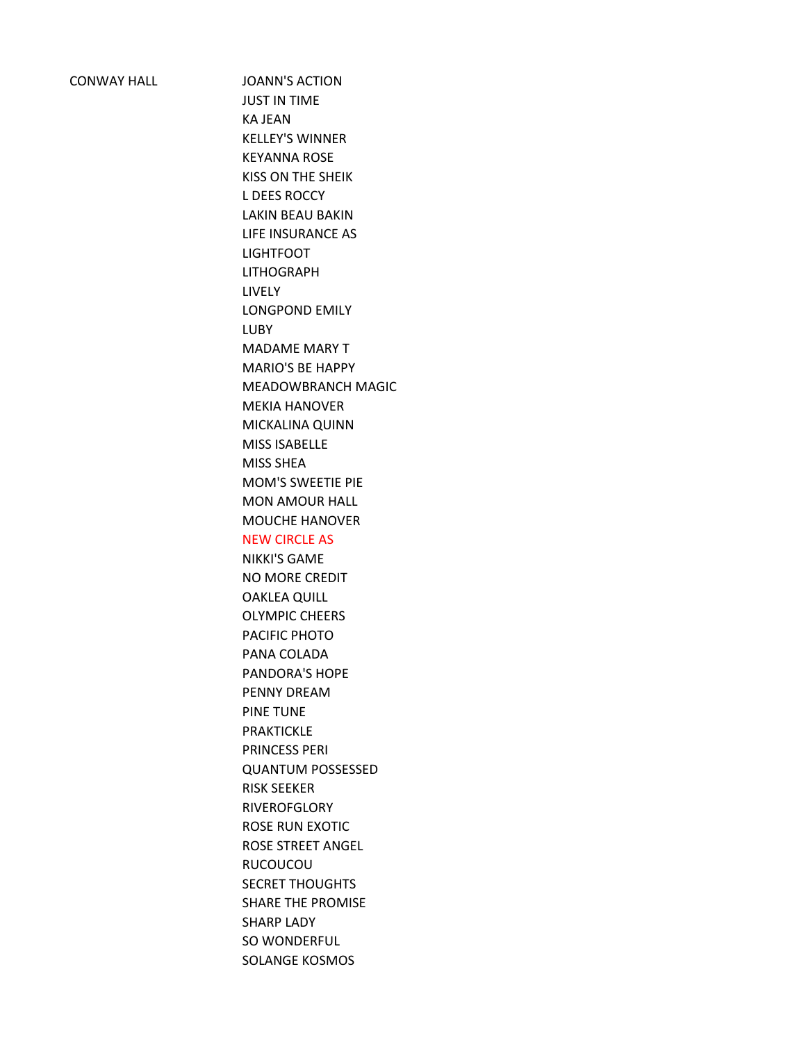CONWAY HALL JOANN'S ACTION JUST IN TIME KA JEAN KELLEY'S WINNER KEYANNA ROSE KISS ON THE SHEIK L DEES ROCCY LAKIN BEAU BAKIN LIFE INSURANCE AS LIGHTFOOT LITHOGRAPH LIVELY LONGPOND EMILY LUBY MADAME MARY T MARIO'S BE HAPPY MEADOWBRANCH MAGIC MEKIA HANOVER MICKALINA QUINN MISS ISABELLE MISS SHEA MOM'S SWEETIE PIE MON AMOUR HALL MOUCHE HANOVER NEW CIRCLE AS NIKKI'S GAME NO MORE CREDIT OAKLEA QUILL OLYMPIC CHEERS PACIFIC PHOTO PANA COLADA PANDORA'S HOPE PENNY DREAM PINE TUNE PRAKTICKLE PRINCESS PERI QUANTUM POSSESSED RISK SEEKER **RIVEROFGLORY** ROSE RUN EXOTIC ROSE STREET ANGEL RUCOUCOU SECRET THOUGHTS SHARE THE PROMISE SHARP LADY SO WONDERFUL SOLANGE KOSMOS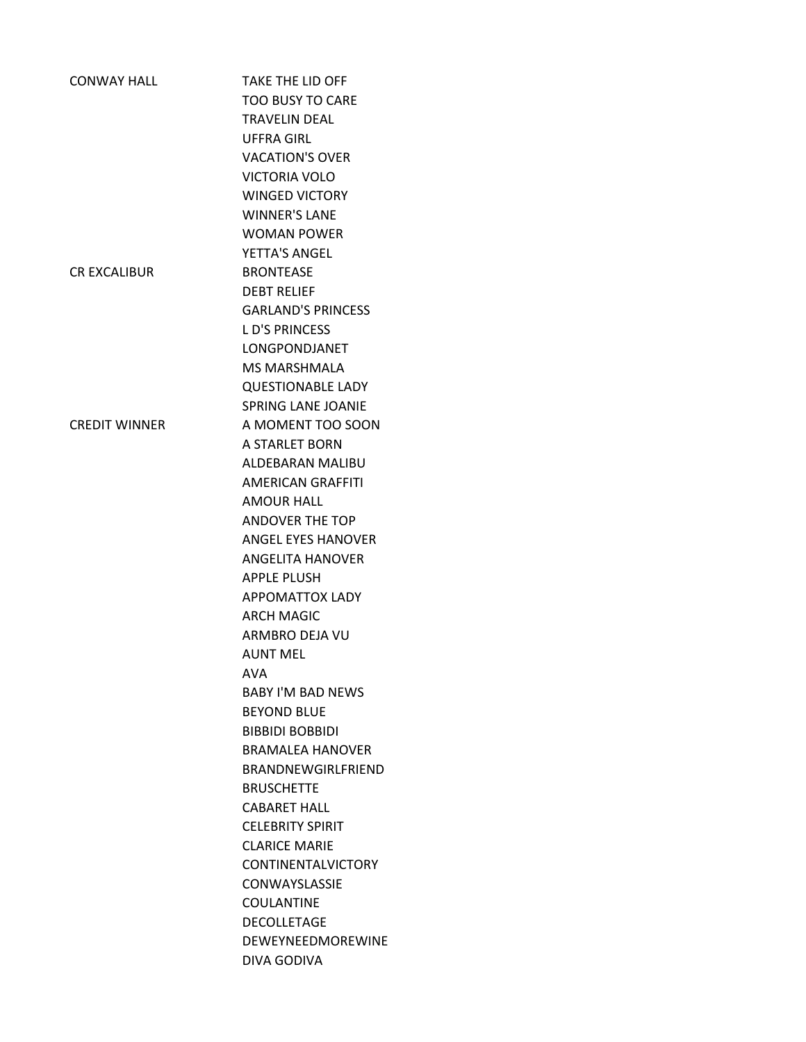| <b>CONWAY HALL</b>   | <b>TAKE THE LID OFF</b>   |
|----------------------|---------------------------|
|                      | <b>TOO BUSY TO CARE</b>   |
|                      | <b>TRAVELIN DEAL</b>      |
|                      | <b>UFFRA GIRL</b>         |
|                      | <b>VACATION'S OVER</b>    |
|                      | <b>VICTORIA VOLO</b>      |
|                      | <b>WINGED VICTORY</b>     |
|                      | <b>WINNER'S LANE</b>      |
|                      | <b>WOMAN POWER</b>        |
|                      | YETTA'S ANGEL             |
| <b>CR EXCALIBUR</b>  | <b>BRONTEASE</b>          |
|                      | <b>DEBT RELIEF</b>        |
|                      | <b>GARLAND'S PRINCESS</b> |
|                      |                           |
|                      | <b>LD'S PRINCESS</b>      |
|                      | <b>LONGPONDJANET</b>      |
|                      | <b>MS MARSHMALA</b>       |
|                      | <b>QUESTIONABLE LADY</b>  |
|                      | <b>SPRING LANE JOANIE</b> |
| <b>CREDIT WINNER</b> | A MOMENT TOO SOON         |
|                      | A STARLFT BORN            |
|                      | ALDEBARAN MALIBU          |
|                      | <b>AMERICAN GRAFFITI</b>  |
|                      | <b>AMOUR HALL</b>         |
|                      | <b>ANDOVER THE TOP</b>    |
|                      | <b>ANGEL EYES HANOVER</b> |
|                      | <b>ANGELITA HANOVER</b>   |
|                      | <b>APPLE PLUSH</b>        |
|                      | <b>APPOMATTOX LADY</b>    |
|                      | <b>ARCH MAGIC</b>         |
|                      | ARMBRO DEJA VU            |
|                      | <b>AUNT MFL</b>           |
|                      | AVA                       |
|                      | <b>BABY I'M BAD NEWS</b>  |
|                      | <b>BEYOND BLUE</b>        |
|                      | <b>BIBBIDI BOBBIDI</b>    |
|                      | <b>BRAMALFA HANOVFR</b>   |
|                      | BRANDNEWGIRLFRIEND        |
|                      | <b>BRUSCHETTE</b>         |
|                      | <b>CABARET HALL</b>       |
|                      | <b>CELEBRITY SPIRIT</b>   |
|                      | <b>CLARICE MARIE</b>      |
|                      | <b>CONTINENTALVICTORY</b> |
|                      | <b>CONWAYSLASSIE</b>      |
|                      | <b>COULANTINE</b>         |
|                      | <b>DECOLLETAGE</b>        |
|                      | <b>DEWEYNEEDMOREWINE</b>  |
|                      | DIVA GODIVA               |
|                      |                           |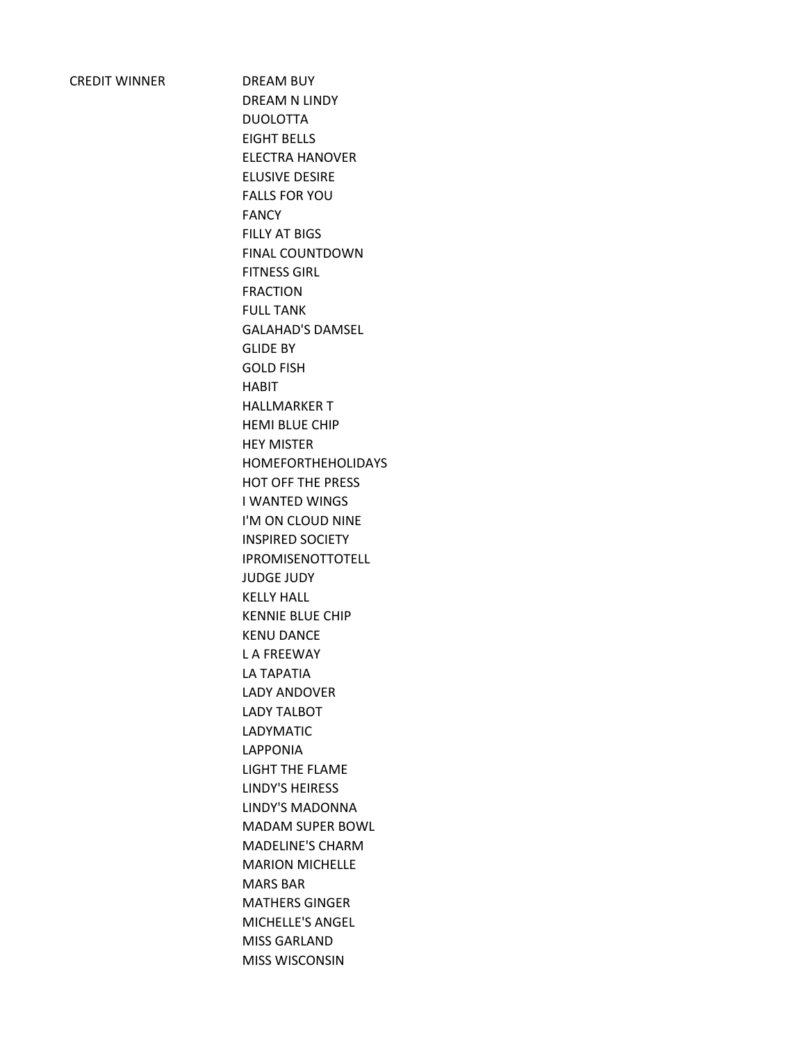DREAM BUY DREAM N LINDY DUOLOTTA EIGHT BELLS ELECTRA HANOVER ELUSIVE DESIRE FALLS FOR YOU FANCY FILLY AT BIGS FINAL COUNTDOWN FITNESS GIRL FRACTION FULL TANK GALAHAD'S DAMSEL GLIDE BY GOLD FISH HABIT HALLMARKER T HEMI BLUE CHIP HEY MISTER HOMEFORTHEHOLIDAYS HOT OFF THE PRESS I WANTED WINGS I'M ON CLOUD NINE INSPIRED SOCIETY IPROMISENOTTOTELL JUDGE JUDY KELLY HALL KENNIE BLUE CHIP KENU DANCE L A FREEWAY LA TAPATIA LADY ANDOVER LADY TALBOT LADYMATIC LAPPONIA LIGHT THE FLAME LINDY'S HEIRESS LINDY'S MADONNA MADAM SUPER BOWL MADELINE'S CHARM MARION MICHELLE MARS BAR MATHERS GINGER MICHELLE'S ANGEL MISS GARLAND MISS WISCONSIN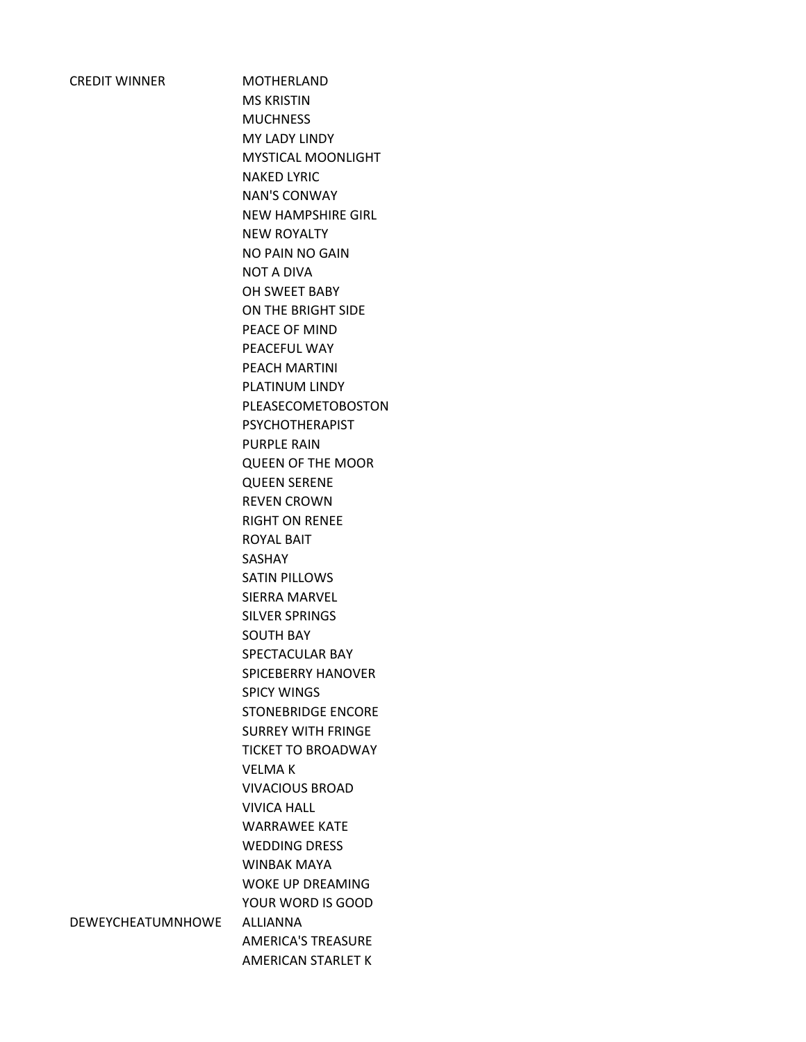**MOTHERLAND** MS KRISTIN MUCHNESS MY LADY LINDY MYSTICAL MOONLIGHT NAKED LYRIC NAN'S CONWAY NEW HAMPSHIRE GIRL NEW ROYALTY NO PAIN NO GAIN NOT A DIVA OH SWEET BABY ON THE BRIGHT SIDE PEACE OF MIND PEACEFUL WAY PEACH MARTINI PLATINUM LINDY PLEASECOMETOBOSTON PSYCHOTHERAPIST PURPLE RAIN QUEEN OF THE MOOR QUEEN SERENE REVEN CROWN RIGHT ON RENEE ROYAL BAIT SASHAY SATIN PILLOWS SIERRA MARVEL SILVER SPRINGS SOUTH BAY SPECTACULAR BAY SPICEBERRY HANOVER SPICY WINGS STONEBRIDGE ENCORE SURREY WITH FRINGE TICKET TO BROADWAY VELMA K VIVACIOUS BROAD VIVICA HALL WARRAWEE KATE WEDDING DRESS WINBAK MAYA WOKE UP DREAMING YOUR WORD IS GOOD AMERICA'S TREASURE AMERICAN STARLET K

DEWEYCHEATUMNHOWE ALLIANNA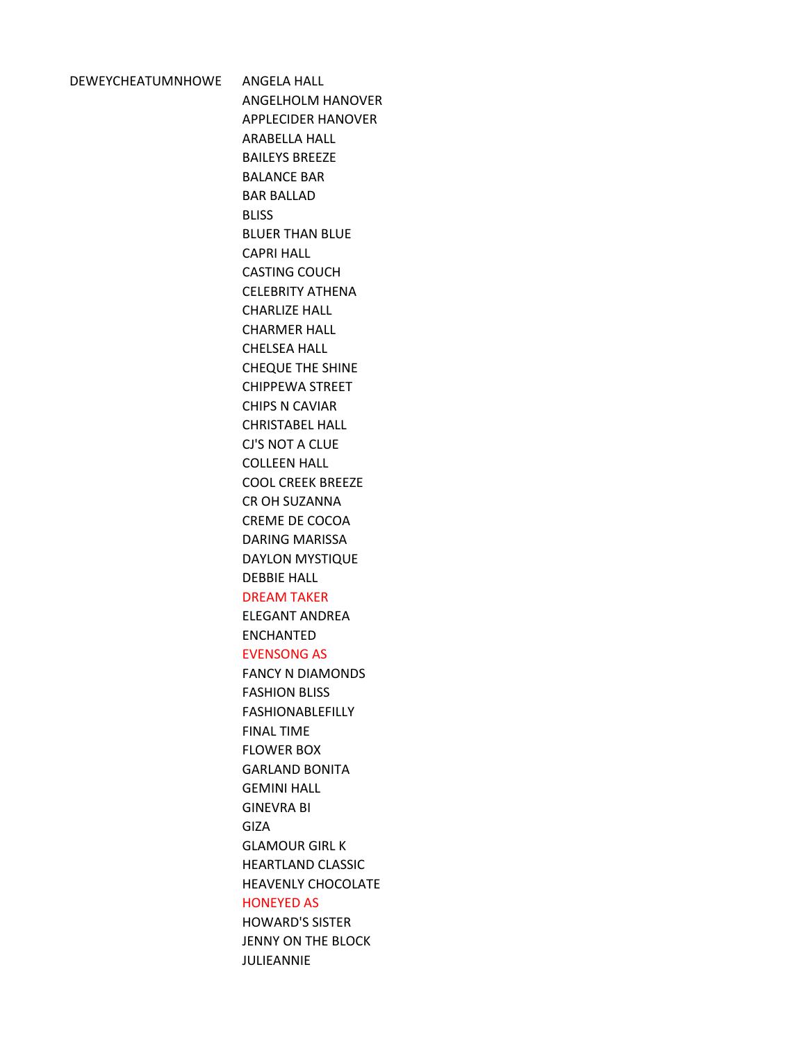DEWEYCHEATUMNHOWE ANGELA HALL ANGELHOLM HANOVER APPLECIDER HANOVER ARABELLA HALL BAILEYS BREEZE BALANCE BAR BAR BALLAD BLISS BLUER THAN BLUE CAPRI HALL CASTING COUCH CELEBRITY ATHENA CHARLIZE HALL CHARMER HALL CHELSEA HALL CHEQUE THE SHINE CHIPPEWA STREET CHIPS N CAVIAR CHRISTABEL HALL CJ'S NOT A CLUE COLLEEN HALL COOL CREEK BREEZE CR OH SUZANNA CREME DE COCOA DARING MARISSA DAYLON MYSTIQUE DEBBIE HALL DREAM TAKER ELEGANT ANDREA ENCHANTED EVENSONG AS FANCY N DIAMONDS FASHION BLISS FASHIONABLEFILLY FINAL TIME FLOWER BOX GARLAND BONITA GEMINI HALL GINEVRA BI GIZA GLAMOUR GIRL K HEARTLAND CLASSIC HEAVENLY CHOCOLATE HONEYED AS HOWARD'S SISTER JENNY ON THE BLOCK JULIEANNIE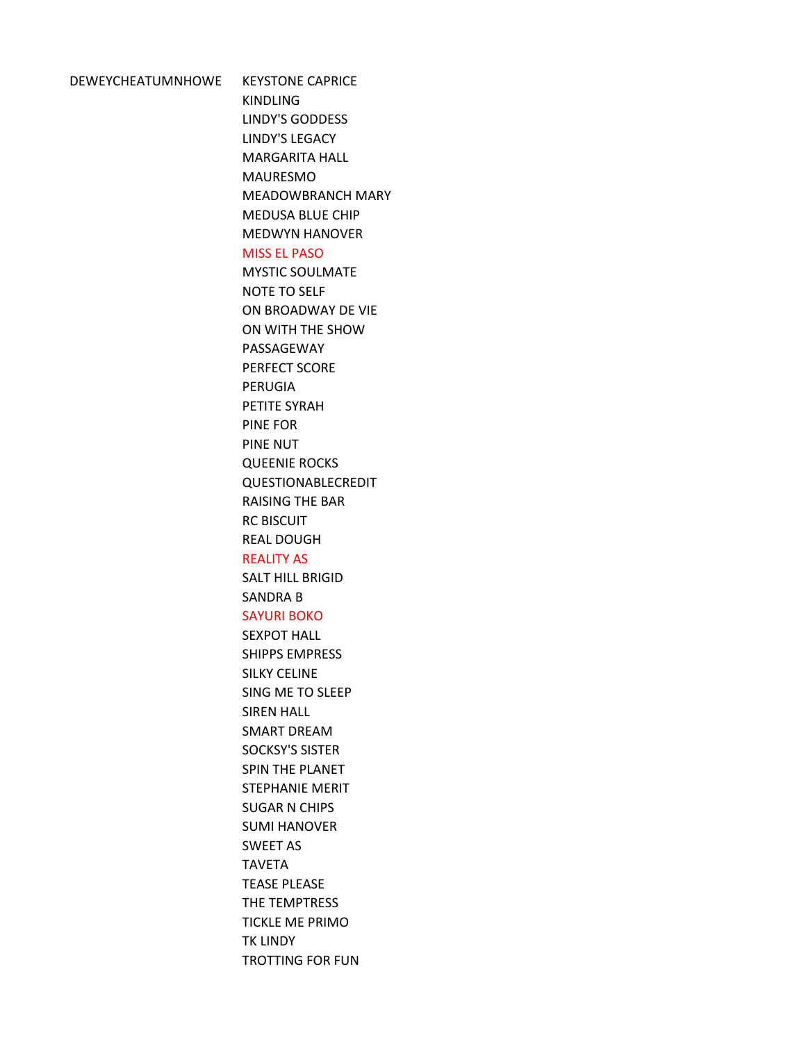# DEWEYCHEATUMNHOWE KEYSTONE CAPRICE

KINDLING LINDY'S GODDESS LINDY'S LEGACY MARGARITA HALL MAURESMO MEADOWBRANCH MARY MEDUSA BLUE CHIP MEDWYN HANOVER

# MISS EL PASO

MYSTIC SOULMATE NOTE TO SELF ON BROADWAY DE VIE ON WITH THE SHOW PASSAGEWAY PERFECT SCORE PERUGIA PETITE SYRAH PINE FOR PINE NUT QUEENIE ROCKS QUESTIONABLECREDIT RAISING THE BAR RC BISCUIT REAL DOUGH

### REALITY AS

SALT HILL BRIGID SANDRA B

# SAYURI BOKO

SEXPOT HALL SHIPPS EMPRESS SILKY CELINE SING ME TO SLEEP SIREN HALL SMART DREAM SOCKSY'S SISTER SPIN THE PLANET STEPHANIE MERIT SUGAR N CHIPS SUMI HANOVER SWEET AS TAVETA TEASE PLEASE THE TEMPTRESS TICKLE ME PRIMO TK LINDY TROTTING FOR FUN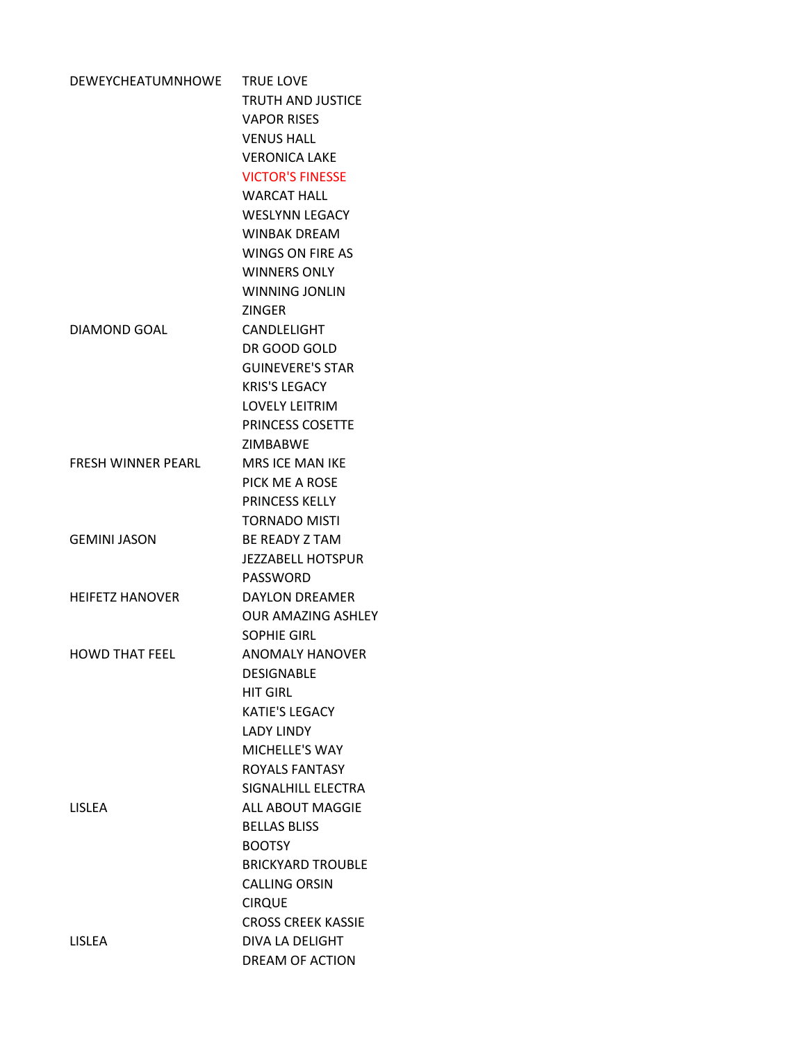| DEWEYCHEATUMNHOWE         | <b>TRUE LOVE</b>          |
|---------------------------|---------------------------|
|                           | <b>TRUTH AND JUSTICE</b>  |
|                           | <b>VAPOR RISES</b>        |
|                           | <b>VENUS HALL</b>         |
|                           | <b>VERONICA LAKE</b>      |
|                           | <b>VICTOR'S FINESSE</b>   |
|                           | <b>WARCAT HALL</b>        |
|                           | <b>WESLYNN LEGACY</b>     |
|                           | <b>WINBAK DRFAM</b>       |
|                           | <b>WINGS ON FIRE AS</b>   |
|                           | <b>WINNERS ONLY</b>       |
|                           | <b>WINNING JONLIN</b>     |
|                           | <b>ZINGER</b>             |
| DIAMOND GOAL              | CANDLELIGHT               |
|                           | DR GOOD GOLD              |
|                           | <b>GUINEVERE'S STAR</b>   |
|                           | <b>KRIS'S LEGACY</b>      |
|                           | <b>LOVELY LEITRIM</b>     |
|                           | PRINCESS COSETTE          |
|                           | <b>ZIMBABWE</b>           |
| <b>FRESH WINNER PEARL</b> | <b>MRS ICE MAN IKE</b>    |
|                           | PICK ME A ROSE            |
|                           | <b>PRINCESS KELLY</b>     |
|                           | <b>TORNADO MISTI</b>      |
| <b>GEMINI JASON</b>       | <b>BE READY Z TAM</b>     |
|                           | <b>JEZZABELL HOTSPUR</b>  |
|                           | PASSWORD                  |
| <b>HEIFETZ HANOVER</b>    | <b>DAYLON DREAMER</b>     |
|                           | <b>OUR AMAZING ASHLFY</b> |
|                           | <b>SOPHIE GIRL</b>        |
| <b>HOWD THAT FEEL</b>     | <b>ANOMALY HANOVER</b>    |
|                           | <b>DESIGNABLE</b>         |
|                           | <b>HIT GIRL</b>           |
|                           | <b>KATIE'S LEGACY</b>     |
|                           | <b>LADY LINDY</b>         |
|                           | MICHELLE'S WAY            |
|                           | <b>ROYALS FANTASY</b>     |
|                           | SIGNALHILL ELECTRA        |
| <b>LISLEA</b>             | ALL ABOUT MAGGIF          |
|                           | <b>BELLAS BLISS</b>       |
|                           | <b>BOOTSY</b>             |
|                           | <b>BRICKYARD TROUBLE</b>  |
|                           | <b>CALLING ORSIN</b>      |
|                           | <b>CIRQUE</b>             |
|                           | <b>CROSS CREEK KASSIE</b> |
| <b>LISLEA</b>             | DIVA LA DELIGHT           |
|                           | <b>DREAM OF ACTION</b>    |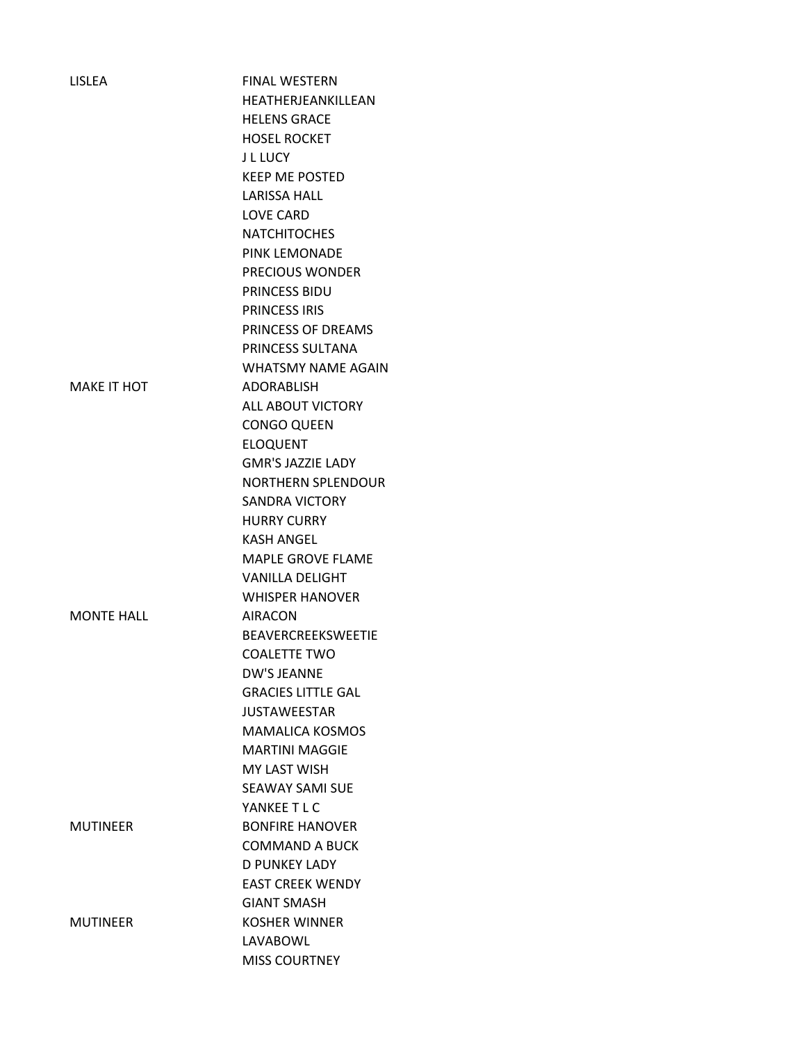| <b>LISLEA</b>      | <b>FINAL WESTERN</b>      |
|--------------------|---------------------------|
|                    | HEATHERJEANKILLEAN        |
|                    | <b>HELENS GRACE</b>       |
|                    | <b>HOSEL ROCKET</b>       |
|                    | J L LUCY                  |
|                    | <b>KEEP ME POSTED</b>     |
|                    | <b>LARISSA HALL</b>       |
|                    | <b>LOVE CARD</b>          |
|                    | <b>NATCHITOCHES</b>       |
|                    | PINK LEMONADE             |
|                    | <b>PRECIOUS WONDER</b>    |
|                    | <b>PRINCESS BIDU</b>      |
|                    | <b>PRINCESS IRIS</b>      |
|                    | PRINCESS OF DREAMS        |
|                    | PRINCESS SULTANA          |
|                    | <b>WHATSMY NAME AGAIN</b> |
| <b>MAKE IT HOT</b> | <b>ADORABLISH</b>         |
|                    | <b>ALL ABOUT VICTORY</b>  |
|                    | <b>CONGO QUEEN</b>        |
|                    | <b>ELOQUENT</b>           |
|                    | <b>GMR'S JAZZIE LADY</b>  |
|                    | <b>NORTHERN SPLENDOUR</b> |
|                    | <b>SANDRA VICTORY</b>     |
|                    | <b>HURRY CURRY</b>        |
|                    | <b>KASH ANGEL</b>         |
|                    | <b>MAPLE GROVE FLAME</b>  |
|                    | <b>VANILLA DELIGHT</b>    |
|                    | <b>WHISPER HANOVER</b>    |
| <b>MONTF HALL</b>  | <b>AIRACON</b>            |
|                    | BEAVERCREEKSWEETIE        |
|                    | <b>COALETTE TWO</b>       |
|                    | <b>DW'S JEANNE</b>        |
|                    | <b>GRACIES LITTLE GAL</b> |
|                    | <b>JUSTAWEESTAR</b>       |
|                    | <b>MAMALICA KOSMOS</b>    |
|                    | <b>MARTINI MAGGIE</b>     |
|                    | <b>MY LAST WISH</b>       |
|                    | <b>SEAWAY SAMI SUE</b>    |
|                    | YANKEE T L C              |
| MUTINEER           | <b>BONFIRE HANOVER</b>    |
|                    | <b>COMMAND A BUCK</b>     |
|                    | D PUNKEY LADY             |
|                    | <b>EAST CREEK WENDY</b>   |
|                    | <b>GIANT SMASH</b>        |
| MUTINEER           | <b>KOSHER WINNER</b>      |
|                    |                           |
|                    | LAVABOWL                  |
|                    | <b>MISS COURTNEY</b>      |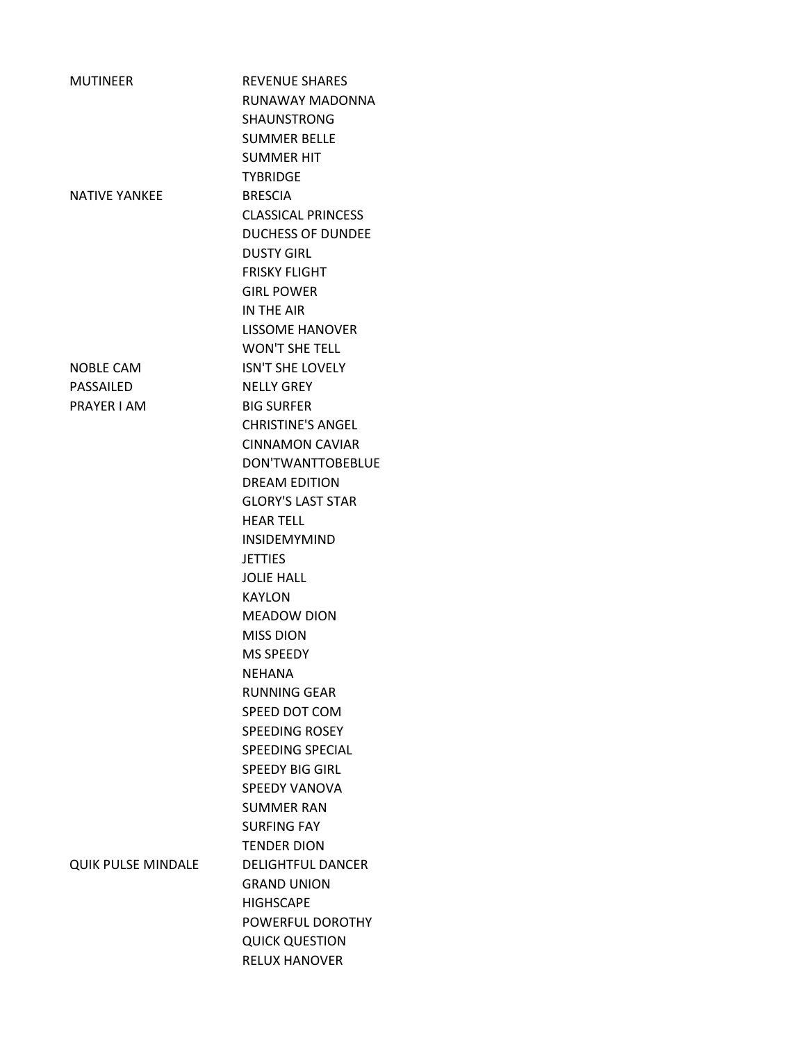| <b>MUTINEER</b>           | <b>REVENUE SHARES</b>     |
|---------------------------|---------------------------|
|                           | RUNAWAY MADONNA           |
|                           | <b>SHAUNSTRONG</b>        |
|                           | <b>SUMMER BELLE</b>       |
|                           | <b>SUMMER HIT</b>         |
|                           | <b>TYBRIDGE</b>           |
| <b>NATIVE YANKEE</b>      | <b>BRESCIA</b>            |
|                           | <b>CLASSICAL PRINCESS</b> |
|                           | <b>DUCHESS OF DUNDEE</b>  |
|                           | <b>DUSTY GIRL</b>         |
|                           | <b>FRISKY FLIGHT</b>      |
|                           | <b>GIRL POWER</b>         |
|                           | IN THE AIR                |
|                           | <b>LISSOME HANOVER</b>    |
|                           | <b>WON'T SHE TELL</b>     |
|                           |                           |
| <b>NOBLE CAM</b>          | <b>ISN'T SHE LOVELY</b>   |
| PASSAILED                 | <b>NFLLY GRFY</b>         |
| PRAYER I AM               | <b>BIG SURFER</b>         |
|                           | <b>CHRISTINE'S ANGEL</b>  |
|                           | <b>CINNAMON CAVIAR</b>    |
|                           | DON'TWANTTOBEBLUE         |
|                           | <b>DREAM EDITION</b>      |
|                           | <b>GLORY'S LAST STAR</b>  |
|                           | <b>HEAR TELL</b>          |
|                           | <b>INSIDEMYMIND</b>       |
|                           | <b>JETTIES</b>            |
|                           | <b>JOLIE HALL</b>         |
|                           | <b>KAYLON</b>             |
|                           | <b>MEADOW DION</b>        |
|                           | <b>MISS DION</b>          |
|                           | <b>MS SPFFDY</b>          |
|                           | NEHANA                    |
|                           | <b>RUNNING GEAR</b>       |
|                           | SPEED DOT COM             |
|                           | <b>SPEEDING ROSEY</b>     |
|                           | <b>SPEEDING SPECIAL</b>   |
|                           | <b>SPEEDY BIG GIRL</b>    |
|                           | <b>SPEEDY VANOVA</b>      |
|                           | <b>SUMMER RAN</b>         |
|                           | <b>SURFING FAY</b>        |
|                           | <b>TENDER DION</b>        |
| <b>QUIK PULSE MINDALE</b> | <b>DELIGHTFUL DANCER</b>  |
|                           | <b>GRAND UNION</b>        |
|                           | <b>HIGHSCAPE</b>          |
|                           | POWERFUL DOROTHY          |
|                           | <b>QUICK QUESTION</b>     |
|                           | <b>RELUX HANOVER</b>      |
|                           |                           |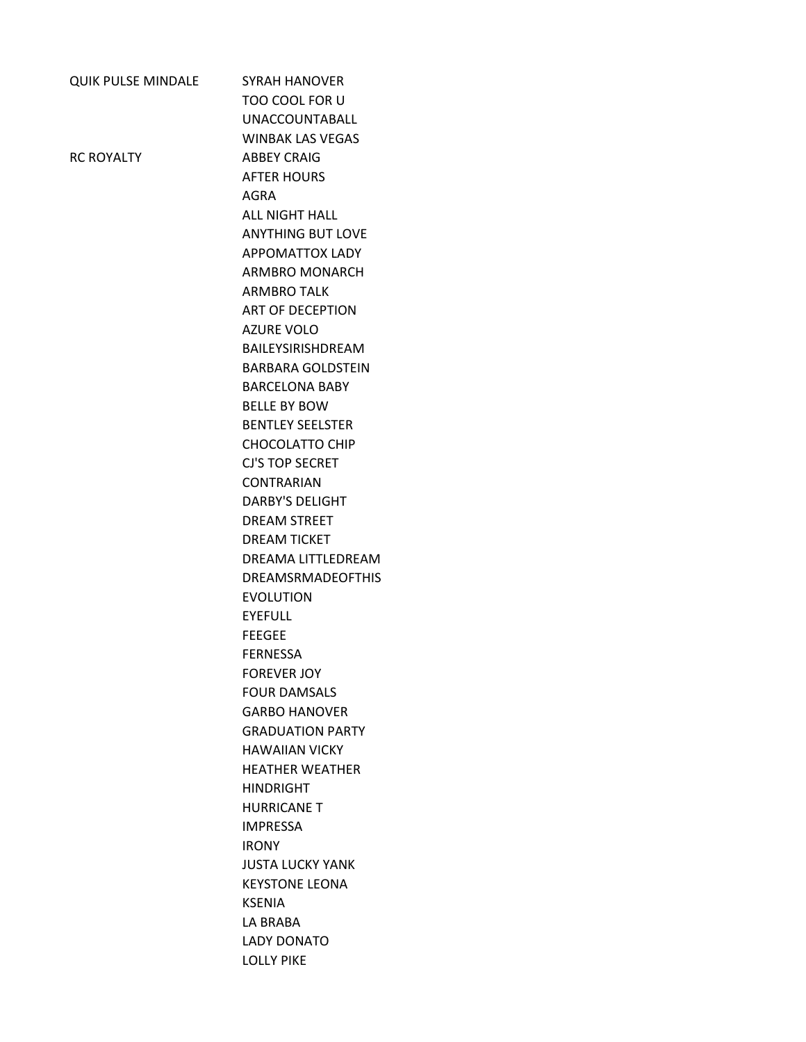| <b>QUIK PULSE MINDALE</b> | <b>SYRAH HANOVER</b>     |
|---------------------------|--------------------------|
|                           | TOO COOL FOR U           |
|                           | <b>UNACCOUNTABALL</b>    |
|                           | <b>WINBAK LAS VEGAS</b>  |
| <b>RC ROYALTY</b>         | <b>ABBEY CRAIG</b>       |
|                           | <b>AFTER HOURS</b>       |
|                           | AGRA                     |
|                           | <b>ALL NIGHT HALL</b>    |
|                           | <b>ANYTHING BUT LOVE</b> |
|                           | <b>APPOMATTOX LADY</b>   |
|                           | ARMBRO MONARCH           |
|                           | <b>ARMBRO TALK</b>       |
|                           | ART OF DECEPTION         |
|                           | <b>AZURE VOLO</b>        |
|                           | BAILEYSIRISHDREAM        |
|                           | <b>BARBARA GOLDSTEIN</b> |
|                           | <b>BARCELONA BABY</b>    |
|                           | <b>BELLE BY BOW</b>      |
|                           | <b>BENTLEY SEELSTER</b>  |
|                           | <b>CHOCOLATTO CHIP</b>   |
|                           | <b>CJ'S TOP SECRET</b>   |
|                           | <b>CONTRARIAN</b>        |
|                           | <b>DARBY'S DELIGHT</b>   |
|                           | <b>DREAM STREET</b>      |
|                           | <b>DREAM TICKET</b>      |
|                           | DREAMA LITTLEDREAM       |
|                           | <b>DREAMSRMADEOFTHIS</b> |
|                           | <b>EVOLUTION</b>         |
|                           | <b>EYEFULL</b>           |
|                           | <b>FEEGEE</b>            |
|                           | <b>FERNESSA</b>          |
|                           | <b>FOREVER JOY</b>       |
|                           | <b>FOUR DAMSALS</b>      |
|                           | <b>GARBO HANOVER</b>     |
|                           | <b>GRADUATION PARTY</b>  |
|                           | <b>HAWAIIAN VICKY</b>    |
|                           | <b>HFATHFR WFATHFR</b>   |
|                           | <b>HINDRIGHT</b>         |
|                           | <b>HURRICANE T</b>       |
|                           | <b>IMPRESSA</b>          |
|                           | <b>IRONY</b>             |
|                           | <b>JUSTA LUCKY YANK</b>  |
|                           | <b>KEYSTONE LEONA</b>    |
|                           | <b>KSENIA</b>            |
|                           | LA BRABA                 |
|                           | <b>LADY DONATO</b>       |
|                           | <b>LOLLY PIKE</b>        |
|                           |                          |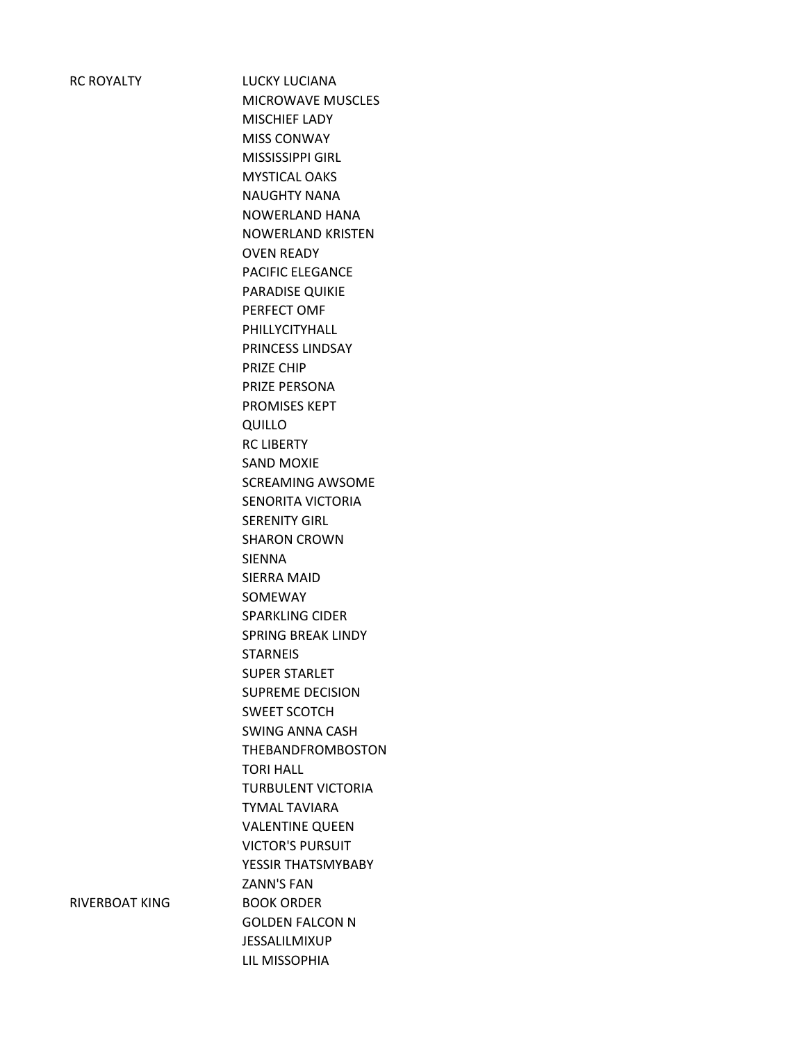RC ROYALTY LUCKY LUCIANA MICROWAVE MUSCLES MISCHIEF LADY MISS CONWAY MISSISSIPPI GIRL MYSTICAL OAKS NAUGHTY NANA NOWERLAND HANA NOWERLAND KRISTEN OVEN READY PACIFIC ELEGANCE PARADISE QUIKIE PERFECT OMF PHILLYCITYHALL PRINCESS LINDSAY PRIZE CHIP PRIZE PERSONA PROMISES KEPT QUILLO RC LIBERTY SAND MOXIE SCREAMING AWSOME SENORITA VICTORIA SERENITY GIRL SHARON CROWN SIENNA SIERRA MAID SOMEWAY SPARKLING CIDER SPRING BREAK LINDY **STARNEIS** SUPER STARLET SUPREME DECISION SWEET SCOTCH SWING ANNA CASH THEBANDFROMBOSTON TORI HALL TURBULENT VICTORIA TYMAL TAVIARA VALENTINE QUEEN VICTOR'S PURSUIT YESSIR THATSMYBABY ZANN'S FAN GOLDEN FALCON N JESSALILMIXUP LIL MISSOPHIA

RIVERBOAT KING BOOK ORDER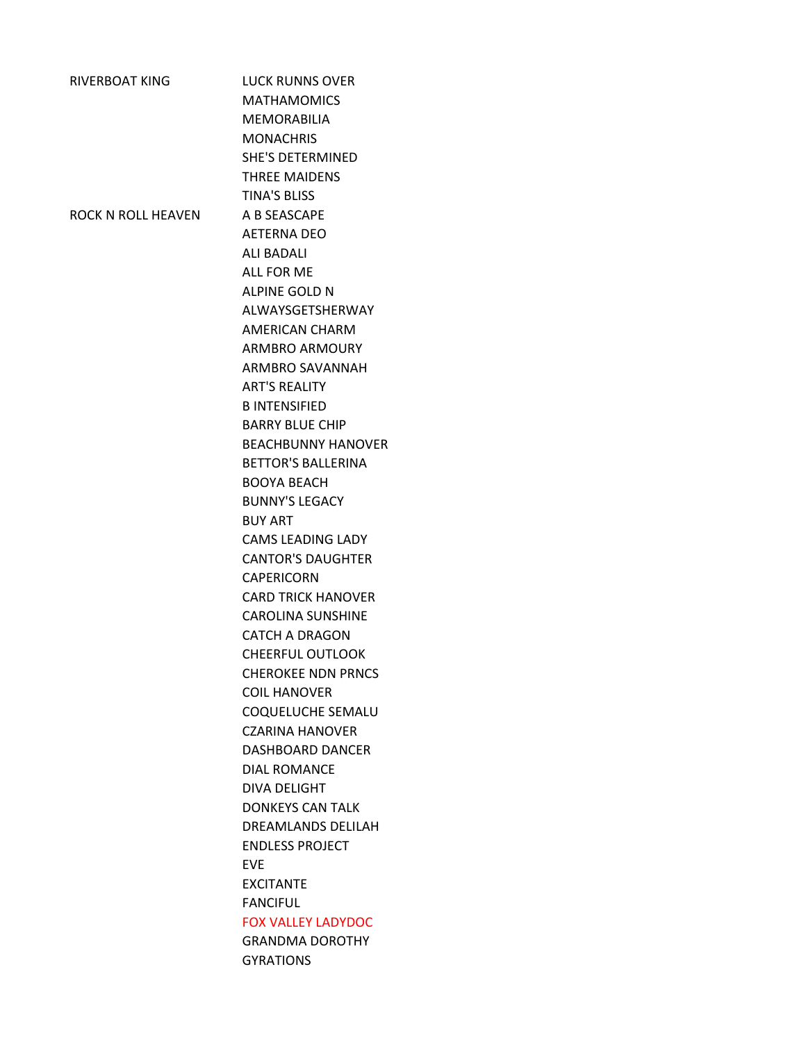| <b>RIVERBOAT KING</b> | <b>LUCK RUNNS OVER</b>    |
|-----------------------|---------------------------|
|                       | <b>MATHAMOMICS</b>        |
|                       | <b>MFMORABILIA</b>        |
|                       | <b>MONACHRIS</b>          |
|                       | <b>SHE'S DETERMINED</b>   |
|                       | <b>THREE MAIDENS</b>      |
|                       | <b>TINA'S BLISS</b>       |
| ROCK N ROLL HEAVEN    | A B SEASCAPE              |
|                       | <b>AETERNA DEO</b>        |
|                       | <b>ALI BADALI</b>         |
|                       | <b>ALL FOR ME</b>         |
|                       | ALPINE GOLD N             |
|                       |                           |
|                       | ALWAYSGETSHERWAY          |
|                       | AMERICAN CHARM            |
|                       | <b>ARMBRO ARMOURY</b>     |
|                       | ARMBRO SAVANNAH           |
|                       | <b>ART'S REALITY</b>      |
|                       | <b>B INTENSIFIED</b>      |
|                       | <b>BARRY BLUE CHIP</b>    |
|                       | <b>BEACHBUNNY HANOVER</b> |
|                       | <b>BETTOR'S BALLERINA</b> |
|                       | <b>BOOYA BEACH</b>        |
|                       | <b>BUNNY'S LEGACY</b>     |
|                       | <b>BUY ART</b>            |
|                       | <b>CAMS LEADING LADY</b>  |
|                       | <b>CANTOR'S DAUGHTER</b>  |
|                       | <b>CAPERICORN</b>         |
|                       | <b>CARD TRICK HANOVER</b> |
|                       | <b>CAROLINA SUNSHINE</b>  |
|                       | <b>CATCH A DRAGON</b>     |
|                       | <b>CHEERFUL OUTLOOK</b>   |
|                       | <b>CHEROKEE NDN PRNCS</b> |
|                       | <b>COIL HANOVER</b>       |
|                       | COQUELUCHE SEMALU         |
|                       | CZARINA HANOVER           |
|                       | DASHBOARD DANCER          |
|                       | <b>DIAL ROMANCE</b>       |
|                       | DIVA DELIGHT              |
|                       | <b>DONKEYS CAN TALK</b>   |
|                       | DREAMLANDS DELILAH        |
|                       | <b>ENDLESS PROJECT</b>    |
|                       | EVE.                      |
|                       |                           |
|                       | <b>EXCITANTE</b>          |
|                       | <b>FANCIFUL</b>           |
|                       | <b>FOX VALLEY LADYDOC</b> |
|                       | <b>GRANDMA DOROTHY</b>    |
|                       | <b>GYRATIONS</b>          |
|                       |                           |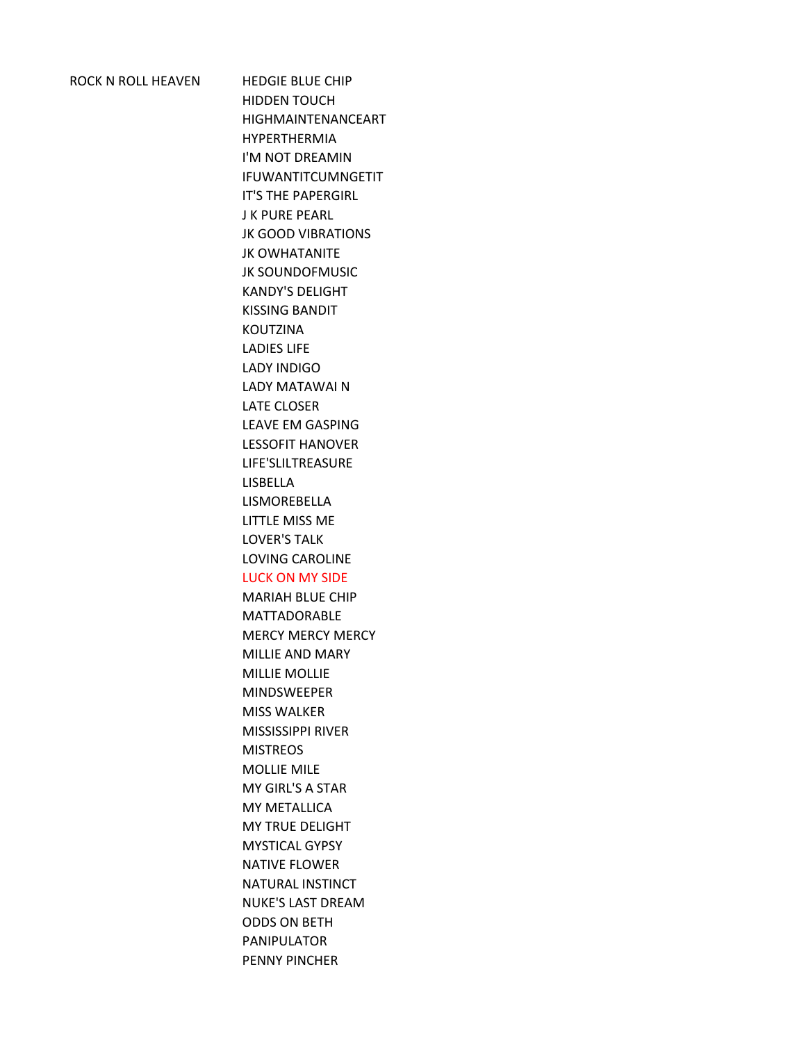ROCK N ROLL HEAVEN HEDGIE BLUE CHIP HIDDEN TOUCH HIGHMAINTENANCEART HYPERTHERMIA I'M NOT DREAMIN IFUWANTITCUMNGETIT IT'S THE PAPERGIRL J K PURE PEARL JK GOOD VIBRATIONS JK OWHATANITE JK SOUNDOFMUSIC KANDY'S DELIGHT KISSING BANDIT KOUTZINA LADIES LIFE LADY INDIGO LADY MATAWAI N LATE CLOSER LEAVE EM GASPING LESSOFIT HANOVER LIFE'SLILTREASURE LISBELLA LISMOREBELLA LITTLE MISS ME LOVER'S TALK LOVING CAROLINE LUCK ON MY SIDE MARIAH BLUE CHIP MATTADORABLE MERCY MERCY MERCY MILLIE AND MARY MILLIE MOLLIE MINDSWEEPER MISS WALKER MISSISSIPPI RIVER **MISTREOS** MOLLIE MILE MY GIRL'S A STAR MY METALLICA MY TRUE DELIGHT MYSTICAL GYPSY NATIVE FLOWER NATURAL INSTINCT NUKE'S LAST DREAM

ODDS ON BETH PANIPULATOR PENNY PINCHER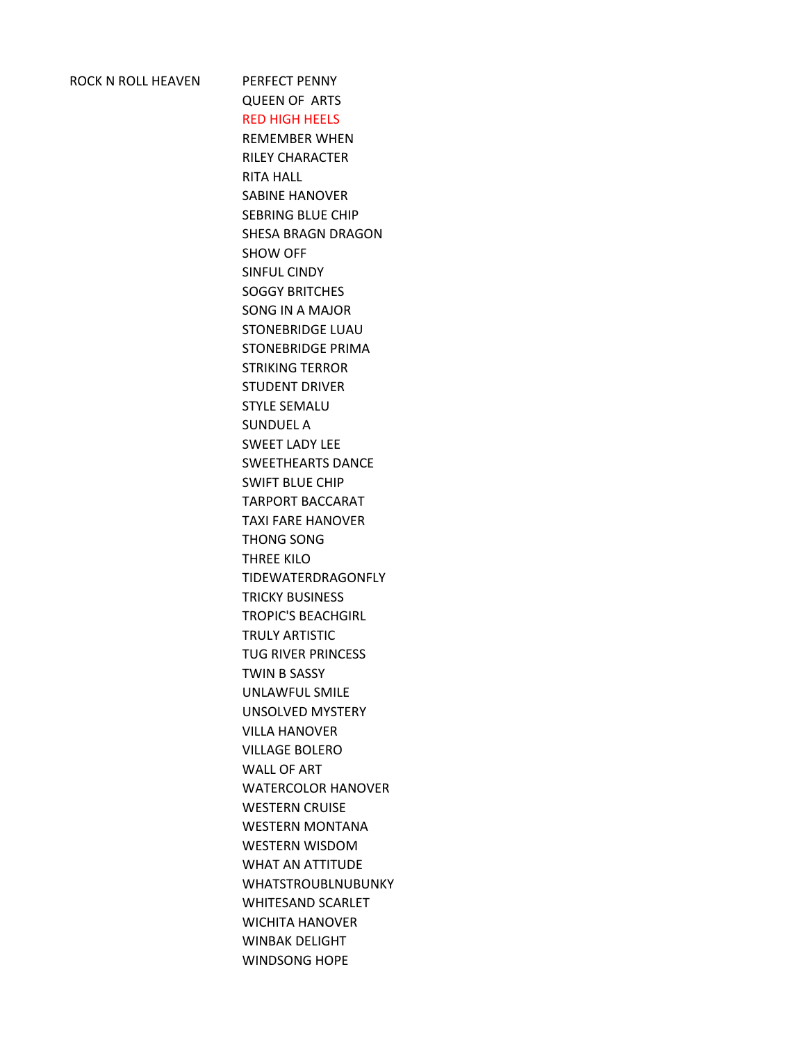## ROCK N ROLL HEAVEN PERFECT PENNY

QUEEN OF ARTS RED HIGH HEELS REMEMBER WHEN RILEY CHARACTER RITA HALL SABINE HANOVER SEBRING BLUE CHIP SHESA BRAGN DRAGON SHOW OFF SINFUL CINDY SOGGY BRITCHES SONG IN A MAJOR STONEBRIDGE LUAU STONEBRIDGE PRIMA STRIKING TERROR STUDENT DRIVER STYLE SEMALU SUNDUEL A SWEET LADY LEE SWEETHEARTS DANCE SWIFT BLUE CHIP TARPORT BACCARAT TAXI FARE HANOVER THONG SONG THREE KILO TIDEWATERDRAGONFLY TRICKY BUSINESS TROPIC'S BEACHGIRL TRULY ARTISTIC TUG RIVER PRINCESS TWIN B SASSY UNLAWFUL SMILE UNSOLVED MYSTERY VILLA HANOVER VILLAGE BOLERO WALL OF ART WATERCOLOR HANOVER WESTERN CRUISE WESTERN MONTANA WESTERN WISDOM WHAT AN ATTITUDE WHATSTROUBLNUBUNKY WHITESAND SCARLET WICHITA HANOVER WINBAK DELIGHT WINDSONG HOPE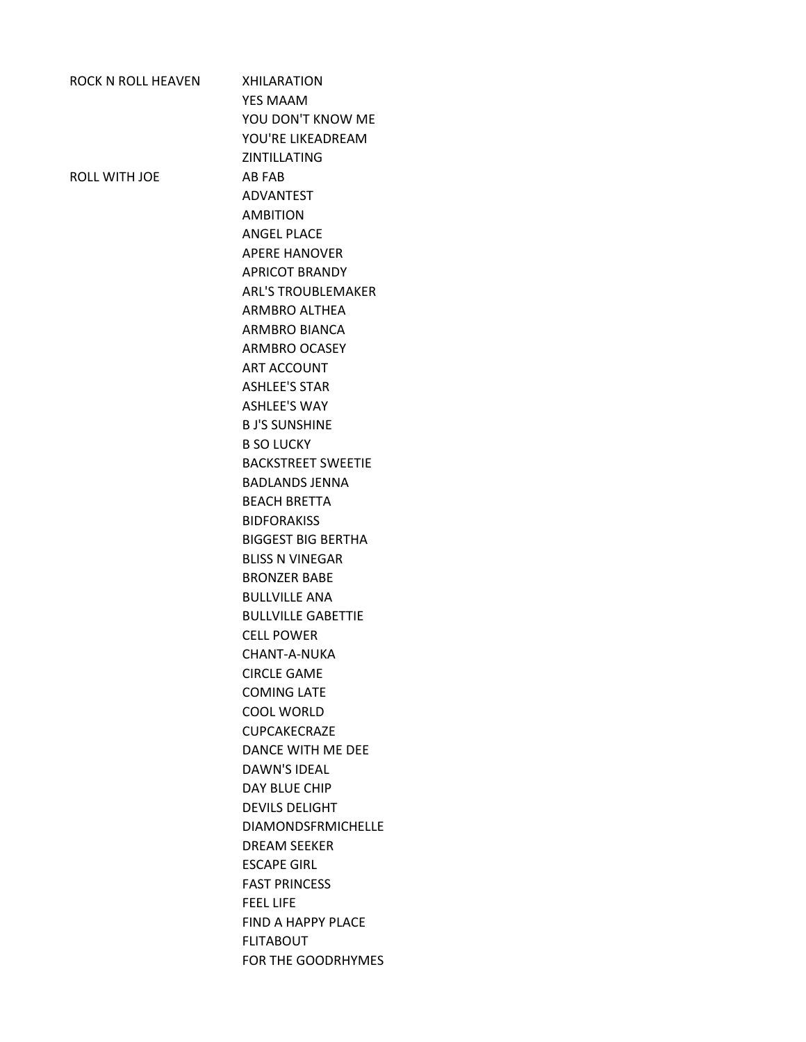| ROCK N ROLL HEAVEN | <b>XHILARATION</b>        |
|--------------------|---------------------------|
|                    | <b>YES MAAM</b>           |
|                    | YOU DON'T KNOW ME         |
|                    | YOU'RE LIKEADREAM         |
|                    | <b>ZINTILLATING</b>       |
| ROLL WITH JOE      | AB FAB                    |
|                    | <b>ADVANTEST</b>          |
|                    | <b>AMBITION</b>           |
|                    | <b>ANGEL PLACE</b>        |
|                    | <b>APERE HANOVER</b>      |
|                    | <b>APRICOT BRANDY</b>     |
|                    | <b>ARL'S TROUBLEMAKER</b> |
|                    | ARMBRO ALTHEA             |
|                    | <b>ARMBRO BIANCA</b>      |
|                    | <b>ARMBRO OCASEY</b>      |
|                    | ART ACCOUNT               |
|                    | <b>ASHLEE'S STAR</b>      |
|                    | <b>ASHLEE'S WAY</b>       |
|                    | <b>B J'S SUNSHINE</b>     |
|                    | <b>B SO LUCKY</b>         |
|                    | <b>BACKSTREET SWEETIE</b> |
|                    | <b>BADLANDS JENNA</b>     |
|                    | <b>BEACH BRETTA</b>       |
|                    | <b>BIDFORAKISS</b>        |
|                    | <b>BIGGEST BIG BERTHA</b> |
|                    | <b>BLISS N VINEGAR</b>    |
|                    | <b>BRONZER BABE</b>       |
|                    | <b>BULLVILLE ANA</b>      |
|                    | <b>BULLVILLE GABETTIE</b> |
|                    | <b>CELL POWER</b>         |
|                    | CHANT-A-NUKA              |
|                    | <b>CIRCLE GAME</b>        |
|                    | <b>COMING LATF</b>        |
|                    | COOL WORLD                |
|                    | <b>CUPCAKFCRAZF</b>       |
|                    | DANCE WITH ME DEE         |
|                    | <b>DAWN'S IDEAL</b>       |
|                    | DAY BLUE CHIP             |
|                    | <b>DEVILS DELIGHT</b>     |
|                    | <b>DIAMONDSFRMICHELLE</b> |
|                    | <b>DREAM SEEKER</b>       |
|                    | <b>ESCAPE GIRL</b>        |
|                    | <b>FAST PRINCESS</b>      |
|                    | <b>FEEL LIFE</b>          |
|                    | <b>FIND A HAPPY PLACE</b> |
|                    | <b>FLITABOUT</b>          |
|                    | FOR THE GOODRHYMES        |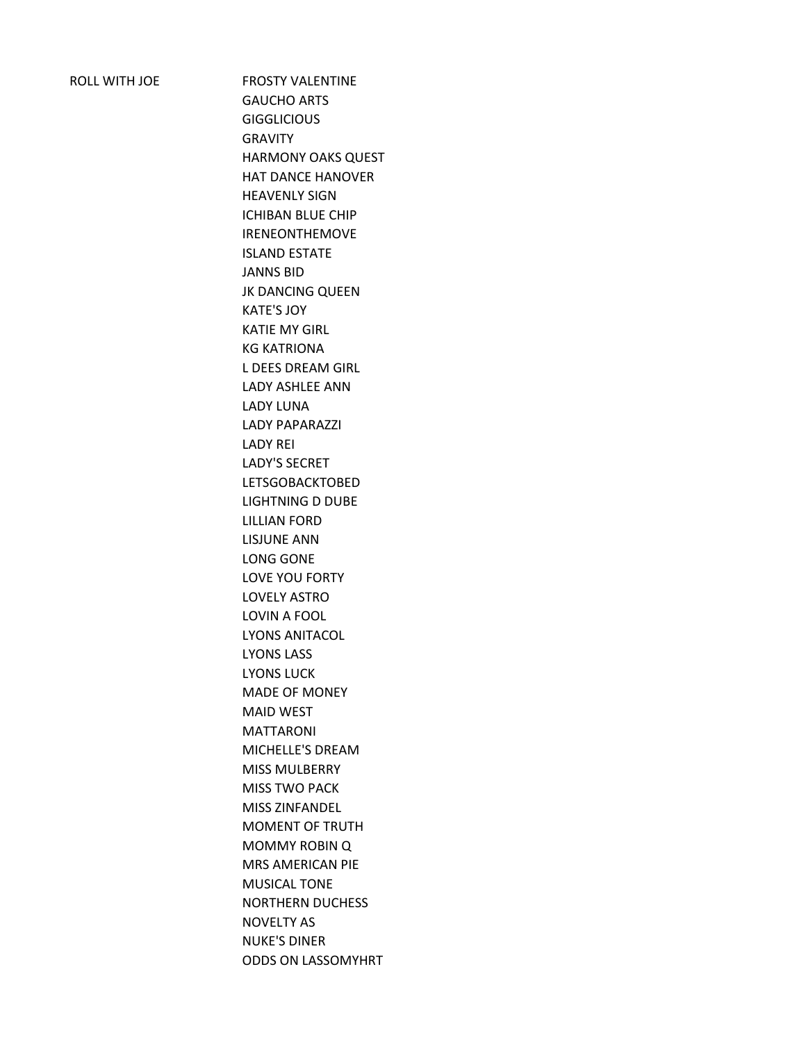ROLL WITH JOE FROSTY VALENTINE GAUCHO ARTS **GIGGLICIOUS** GRAVITY HARMONY OAKS QUEST HAT DANCE HANOVER HEAVENLY SIGN ICHIBAN BLUE CHIP IRENEONTHEMOVE ISLAND ESTATE JANNS BID JK DANCING QUEEN KATE'S JOY KATIE MY GIRL KG KATRIONA L DEES DREAM GIRL LADY ASHLEE ANN LADY LUNA LADY PAPARAZZI LADY REI LADY'S SECRET LETSGOBACKTOBED LIGHTNING D DUBE LILLIAN FORD LISJUNE ANN LONG GONE LOVE YOU FORTY LOVELY ASTRO LOVIN A FOOL LYONS ANITACOL LYONS LASS LYONS LUCK MADE OF MONEY MAID WEST MATTARONI MICHELLE'S DREAM MISS MULBERRY MISS TWO PACK MISS ZINFANDEL MOMENT OF TRUTH MOMMY ROBIN Q MRS AMERICAN PIE MUSICAL TONE NORTHERN DUCHESS NOVELTY AS NUKE'S DINER ODDS ON LASSOMYHRT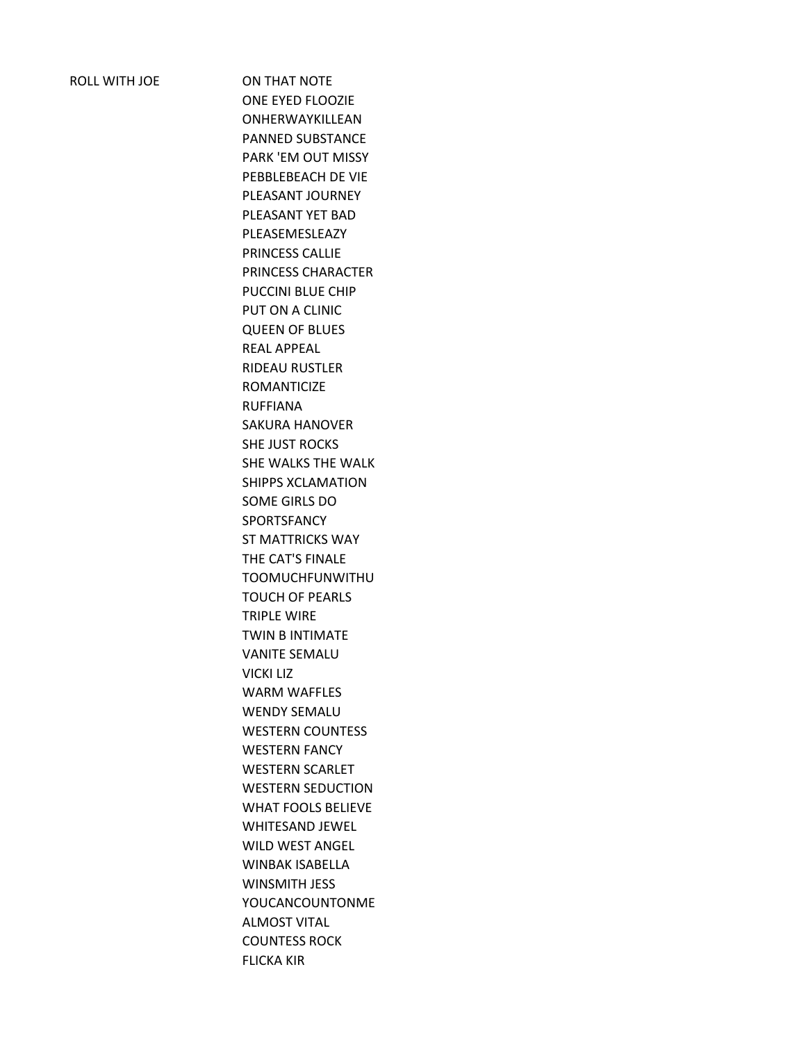ROLL WITH JOE ON THAT NOTE ONE EYED FLOOZIE ONHERWAYKILLEAN PANNED SUBSTANCE PARK 'EM OUT MISSY PEBBLEBEACH DE VIE PLEASANT JOURNEY PLEASANT YET BAD PLEASEMESLEAZY PRINCESS CALLIE PRINCESS CHARACTER PUCCINI BLUE CHIP PUT ON A CLINIC QUEEN OF BLUES REAL APPEAL RIDEAU RUSTLER ROMANTICIZE RUFFIANA SAKURA HANOVER SHE JUST ROCKS SHE WALKS THE WALK SHIPPS XCLAMATION SOME GIRLS DO SPORTSFANCY ST MATTRICKS WAY THE CAT'S FINALE TOOMUCHFUNWITHU TOUCH OF PEARLS TRIPLE WIRE TWIN B INTIMATE VANITE SEMALU VICKI LIZ WARM WAFFLES WENDY SEMALU WESTERN COUNTESS WESTERN FANCY WESTERN SCARLET WESTERN SEDUCTION WHAT FOOLS BELIEVE WHITESAND JEWEL WILD WEST ANGEL WINBAK ISABELLA WINSMITH JESS YOUCANCOUNTONME ALMOST VITAL COUNTESS ROCK FLICKA KIR